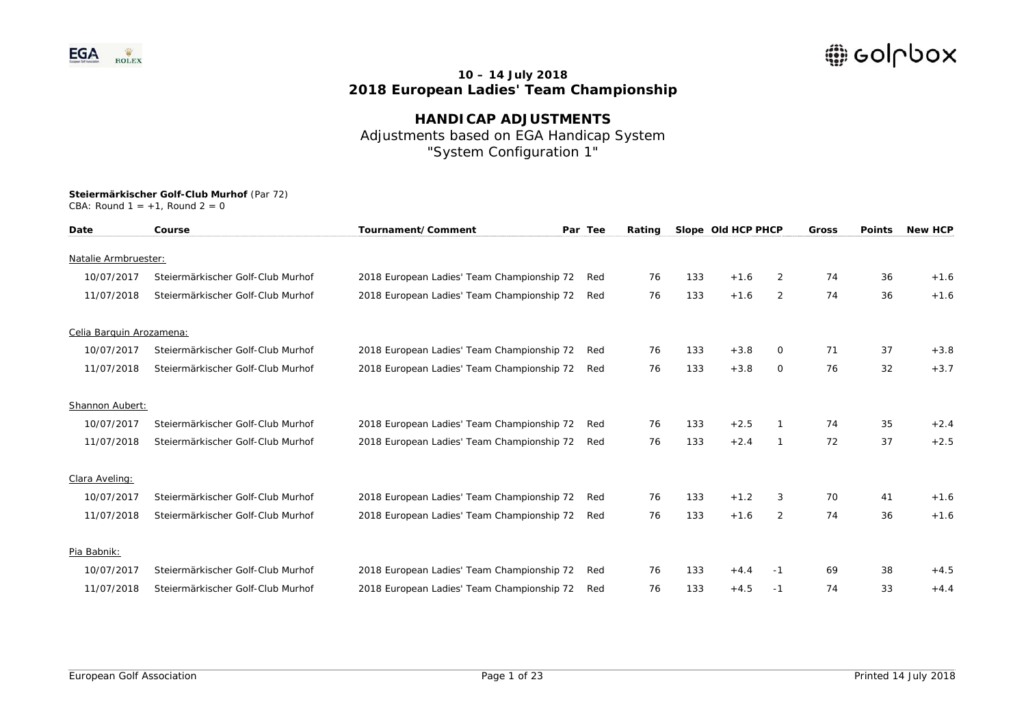

**HANDICAP ADJUSTMENTS**  Adjustments based on EGA Handicap System "System Configuration 1"

| Date                     | Course                            | Tournament/Comment                         | Par Tee | Rating |     | Slope Old HCP PHCP |              | <b>Gross</b> | <b>Points</b> | <b>New HCP</b> |
|--------------------------|-----------------------------------|--------------------------------------------|---------|--------|-----|--------------------|--------------|--------------|---------------|----------------|
| Natalie Armbruester:     |                                   |                                            |         |        |     |                    |              |              |               |                |
| 10/07/2017               | Steiermärkischer Golf-Club Murhof | 2018 European Ladies' Team Championship 72 | Red     | 76     | 133 | $+1.6$             | 2            | 74           | 36            | $+1.6$         |
| 11/07/2018               | Steiermärkischer Golf-Club Murhof | 2018 European Ladies' Team Championship 72 | Red     | 76     | 133 | $+1.6$             | 2            | 74           | 36            | $+1.6$         |
| Celia Barquin Arozamena: |                                   |                                            |         |        |     |                    |              |              |               |                |
| 10/07/2017               | Steiermärkischer Golf-Club Murhof | 2018 European Ladies' Team Championship 72 | Red     | 76     | 133 | $+3.8$             | 0            | 71           | 37            | $+3.8$         |
| 11/07/2018               | Steiermärkischer Golf-Club Murhof | 2018 European Ladies' Team Championship 72 | Red     | 76     | 133 | $+3.8$             | $\circ$      | 76           | 32            | $+3.7$         |
| Shannon Aubert:          |                                   |                                            |         |        |     |                    |              |              |               |                |
| 10/07/2017               | Steiermärkischer Golf-Club Murhof | 2018 European Ladies' Team Championship 72 | Red     | 76     | 133 | $+2.5$             |              | 74           | 35            | $+2.4$         |
| 11/07/2018               | Steiermärkischer Golf-Club Murhof | 2018 European Ladies' Team Championship 72 | Red     | 76     | 133 | $+2.4$             | $\mathbf{1}$ | 72           | 37            | $+2.5$         |
| Clara Aveling:           |                                   |                                            |         |        |     |                    |              |              |               |                |
| 10/07/2017               | Steiermärkischer Golf-Club Murhof | 2018 European Ladies' Team Championship 72 | Red     | 76     | 133 | $+1.2$             | 3            | 70           | 41            | $+1.6$         |
| 11/07/2018               | Steiermärkischer Golf-Club Murhof | 2018 European Ladies' Team Championship 72 | Red     | 76     | 133 | $+1.6$             | 2            | 74           | 36            | $+1.6$         |
| Pia Babnik:              |                                   |                                            |         |        |     |                    |              |              |               |                |
| 10/07/2017               | Steiermärkischer Golf-Club Murhof | 2018 European Ladies' Team Championship 72 | Red     | 76     | 133 | $+4.4$             | -1           | 69           | 38            | $+4.5$         |
| 11/07/2018               | Steiermärkischer Golf-Club Murhof | 2018 European Ladies' Team Championship 72 | Red     | 76     | 133 | $+4.5$             | $-1$         | 74           | 33            | $+4.4$         |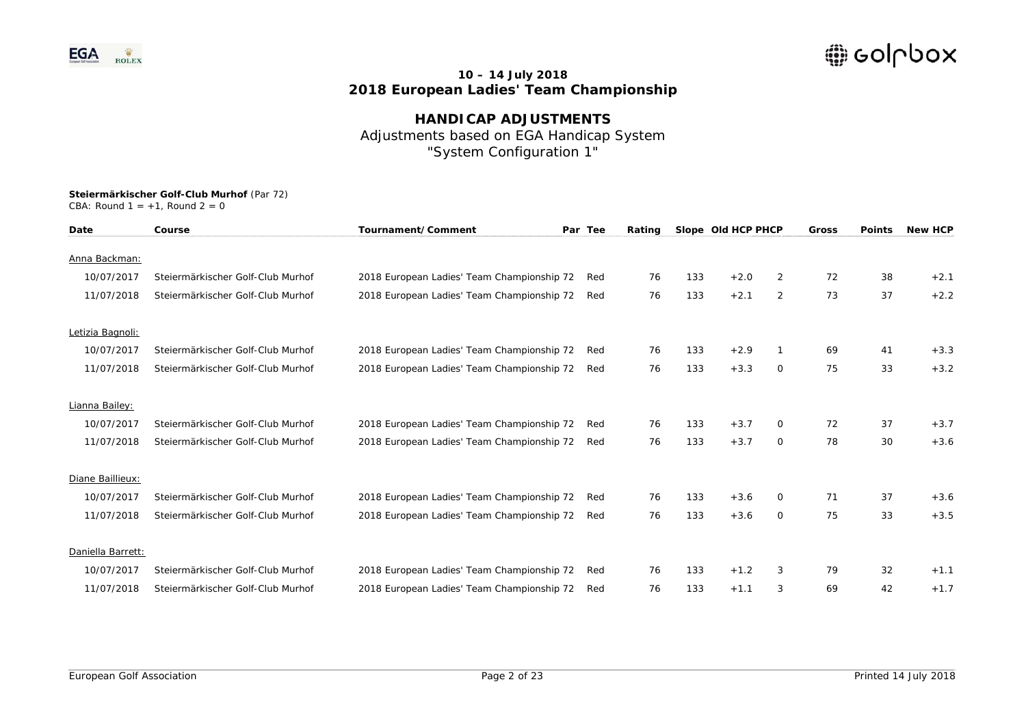

**HANDICAP ADJUSTMENTS**  Adjustments based on EGA Handicap System "System Configuration 1"

| Date              | Course                            | Tournament/Comment                         | Par Tee | Rating |     | Slope Old HCP PHCP |                | <b>Gross</b> | <b>Points</b> | <b>New HCP</b> |
|-------------------|-----------------------------------|--------------------------------------------|---------|--------|-----|--------------------|----------------|--------------|---------------|----------------|
| Anna Backman:     |                                   |                                            |         |        |     |                    |                |              |               |                |
|                   |                                   |                                            |         |        |     |                    |                |              |               |                |
| 10/07/2017        | Steiermärkischer Golf-Club Murhof | 2018 European Ladies' Team Championship 72 | Red     | 76     | 133 | $+2.0$             | $\overline{2}$ | 72           | 38            | $+2.1$         |
| 11/07/2018        | Steiermärkischer Golf-Club Murhof | 2018 European Ladies' Team Championship 72 | Red     | 76     | 133 | $+2.1$             | 2              | 73           | 37            | $+2.2$         |
| Letizia Bagnoli:  |                                   |                                            |         |        |     |                    |                |              |               |                |
| 10/07/2017        | Steiermärkischer Golf-Club Murhof | 2018 European Ladies' Team Championship 72 | Red     | 76     | 133 | $+2.9$             |                | 69           | 41            | $+3.3$         |
| 11/07/2018        | Steiermärkischer Golf-Club Murhof | 2018 European Ladies' Team Championship 72 | Red     | 76     | 133 | $+3.3$             | $\circ$        | 75           | 33            | $+3.2$         |
| Lianna Bailey:    |                                   |                                            |         |        |     |                    |                |              |               |                |
| 10/07/2017        | Steiermärkischer Golf-Club Murhof | 2018 European Ladies' Team Championship 72 | Red     | 76     | 133 | $+3.7$             | $\mathbf{O}$   | 72           | 37            | $+3.7$         |
| 11/07/2018        | Steiermärkischer Golf-Club Murhof | 2018 European Ladies' Team Championship 72 | Red     | 76     | 133 | $+3.7$             | $\circ$        | 78           | 30            | $+3.6$         |
| Diane Baillieux:  |                                   |                                            |         |        |     |                    |                |              |               |                |
|                   |                                   |                                            |         |        |     |                    |                |              |               |                |
| 10/07/2017        | Steiermärkischer Golf-Club Murhof | 2018 European Ladies' Team Championship 72 | Red     | 76     | 133 | $+3.6$             | $\Omega$       | 71           | 37            | $+3.6$         |
| 11/07/2018        | Steiermärkischer Golf-Club Murhof | 2018 European Ladies' Team Championship 72 | Red     | 76     | 133 | $+3.6$             | $\circ$        | 75           | 33            | $+3.5$         |
| Daniella Barrett: |                                   |                                            |         |        |     |                    |                |              |               |                |
| 10/07/2017        | Steiermärkischer Golf-Club Murhof | 2018 European Ladies' Team Championship 72 | Red     | 76     | 133 | $+1.2$             | 3              | 79           | 32            | $+1.1$         |
| 11/07/2018        | Steiermärkischer Golf-Club Murhof | 2018 European Ladies' Team Championship 72 | Red     | 76     | 133 | $+1.1$             | 3              | 69           | 42            | $+1.7$         |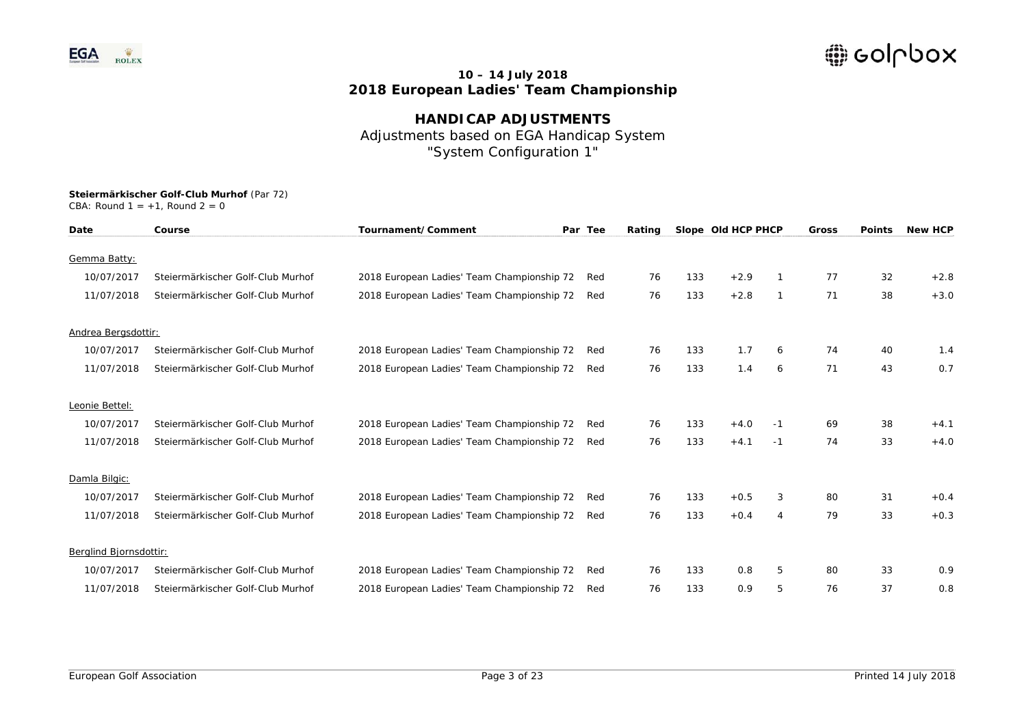

**HANDICAP ADJUSTMENTS**  Adjustments based on EGA Handicap System "System Configuration 1"

| Date                   | Course                            | Tournament/Comment                         | Par Tee | Rating |     | Slope Old HCP PHCP |      | Gross | <b>Points</b> | <b>New HCP</b> |
|------------------------|-----------------------------------|--------------------------------------------|---------|--------|-----|--------------------|------|-------|---------------|----------------|
| Gemma Batty:           |                                   |                                            |         |        |     |                    |      |       |               |                |
| 10/07/2017             | Steiermärkischer Golf-Club Murhof | 2018 European Ladies' Team Championship 72 | Red     | 76     | 133 | $+2.9$             |      | 77    | 32            | $+2.8$         |
| 11/07/2018             | Steiermärkischer Golf-Club Murhof | 2018 European Ladies' Team Championship 72 | Red     | 76     | 133 | $+2.8$             | 1    | 71    | 38            | $+3.0$         |
| Andrea Bergsdottir:    |                                   |                                            |         |        |     |                    |      |       |               |                |
| 10/07/2017             | Steiermärkischer Golf-Club Murhof | 2018 European Ladies' Team Championship 72 | Red     | 76     | 133 | 1.7                | 6    | 74    | 40            | 1.4            |
| 11/07/2018             | Steiermärkischer Golf-Club Murhof | 2018 European Ladies' Team Championship 72 | Red     | 76     | 133 | 1.4                | 6    | 71    | 43            | 0.7            |
| Leonie Bettel:         |                                   |                                            |         |        |     |                    |      |       |               |                |
| 10/07/2017             | Steiermärkischer Golf-Club Murhof | 2018 European Ladies' Team Championship 72 | Red     | 76     | 133 | $+4.0$             | -1   | 69    | 38            | $+4.1$         |
| 11/07/2018             | Steiermärkischer Golf-Club Murhof | 2018 European Ladies' Team Championship 72 | Red     | 76     | 133 | $+4.1$             | $-1$ | 74    | 33            | $+4.0$         |
| Damla Bilgic:          |                                   |                                            |         |        |     |                    |      |       |               |                |
| 10/07/2017             | Steiermärkischer Golf-Club Murhof | 2018 European Ladies' Team Championship 72 | Red     | 76     | 133 | $+0.5$             | 3    | 80    | 31            | $+0.4$         |
| 11/07/2018             | Steiermärkischer Golf-Club Murhof | 2018 European Ladies' Team Championship 72 | Red     | 76     | 133 | $+0.4$             | 4    | 79    | 33            | $+0.3$         |
| Berglind Bjornsdottir: |                                   |                                            |         |        |     |                    |      |       |               |                |
| 10/07/2017             | Steiermärkischer Golf-Club Murhof | 2018 European Ladies' Team Championship 72 | Red     | 76     | 133 | 0.8                | 5    | 80    | 33            | 0.9            |
| 11/07/2018             | Steiermärkischer Golf-Club Murhof | 2018 European Ladies' Team Championship 72 | Red     | 76     | 133 | 0.9                | 5    | 76    | 37            | 0.8            |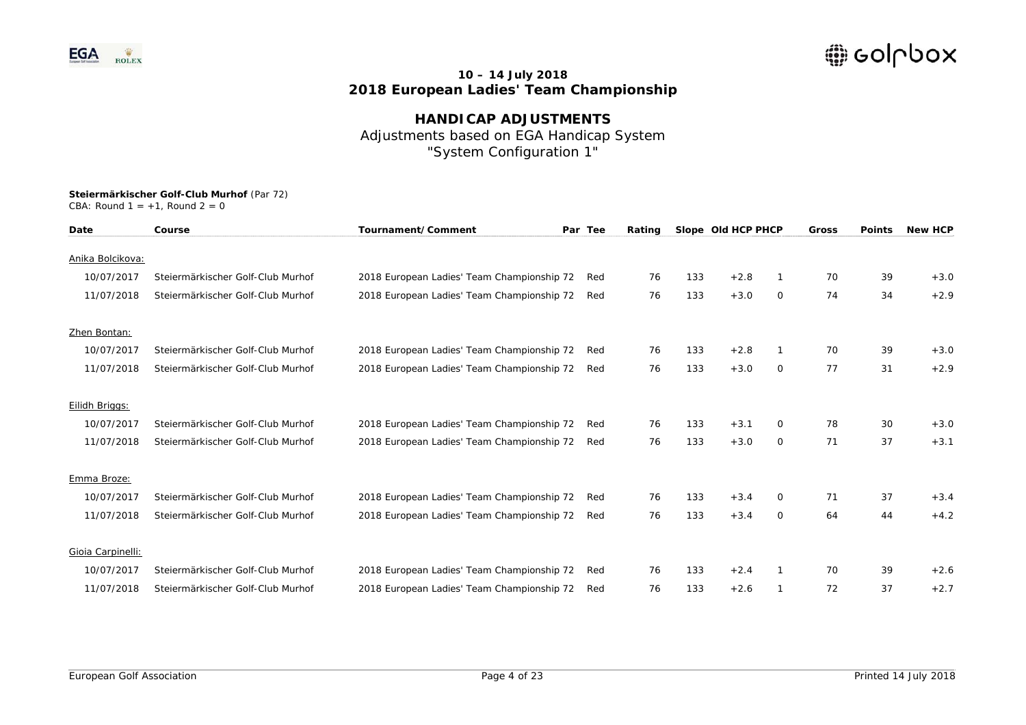

**HANDICAP ADJUSTMENTS**  Adjustments based on EGA Handicap System "System Configuration 1"

| Date              | Course                            | Tournament/Comment                         | Par Tee | Rating |     | Slope Old HCP PHCP |          | <b>Gross</b> | <b>Points</b> | <b>New HCP</b> |
|-------------------|-----------------------------------|--------------------------------------------|---------|--------|-----|--------------------|----------|--------------|---------------|----------------|
| Anika Bolcikova:  |                                   |                                            |         |        |     |                    |          |              |               |                |
| 10/07/2017        | Steiermärkischer Golf-Club Murhof | 2018 European Ladies' Team Championship 72 | Red     | 76     | 133 | $+2.8$             |          | 70           | 39            | $+3.0$         |
| 11/07/2018        | Steiermärkischer Golf-Club Murhof | 2018 European Ladies' Team Championship 72 | Red     | 76     | 133 | $+3.0$             | 0        | 74           | 34            | $+2.9$         |
| Zhen Bontan:      |                                   |                                            |         |        |     |                    |          |              |               |                |
| 10/07/2017        | Steiermärkischer Golf-Club Murhof | 2018 European Ladies' Team Championship 72 | Red     | 76     | 133 | $+2.8$             |          | 70           | 39            | $+3.0$         |
| 11/07/2018        | Steiermärkischer Golf-Club Murhof | 2018 European Ladies' Team Championship 72 | Red     | 76     | 133 | $+3.0$             | $\circ$  | 77           | 31            | $+2.9$         |
| Eilidh Briggs:    |                                   |                                            |         |        |     |                    |          |              |               |                |
| 10/07/2017        | Steiermärkischer Golf-Club Murhof | 2018 European Ladies' Team Championship 72 | Red     | 76     | 133 | $+3.1$             | 0        | 78           | 30            | $+3.0$         |
| 11/07/2018        | Steiermärkischer Golf-Club Murhof | 2018 European Ladies' Team Championship 72 | Red     | 76     | 133 | $+3.0$             | $\circ$  | 71           | 37            | $+3.1$         |
| Emma Broze:       |                                   |                                            |         |        |     |                    |          |              |               |                |
| 10/07/2017        | Steiermärkischer Golf-Club Murhof | 2018 European Ladies' Team Championship 72 | Red     | 76     | 133 | $+3.4$             | $\Omega$ | 71           | 37            | $+3.4$         |
| 11/07/2018        | Steiermärkischer Golf-Club Murhof | 2018 European Ladies' Team Championship 72 | Red     | 76     | 133 | $+3.4$             | $\circ$  | 64           | 44            | $+4.2$         |
| Gioia Carpinelli: |                                   |                                            |         |        |     |                    |          |              |               |                |
| 10/07/2017        | Steiermärkischer Golf-Club Murhof | 2018 European Ladies' Team Championship 72 | Red     | 76     | 133 | $+2.4$             |          | 70           | 39            | $+2.6$         |
| 11/07/2018        | Steiermärkischer Golf-Club Murhof | 2018 European Ladies' Team Championship 72 | Red     | 76     | 133 | $+2.6$             |          | 72           | 37            | $+2.7$         |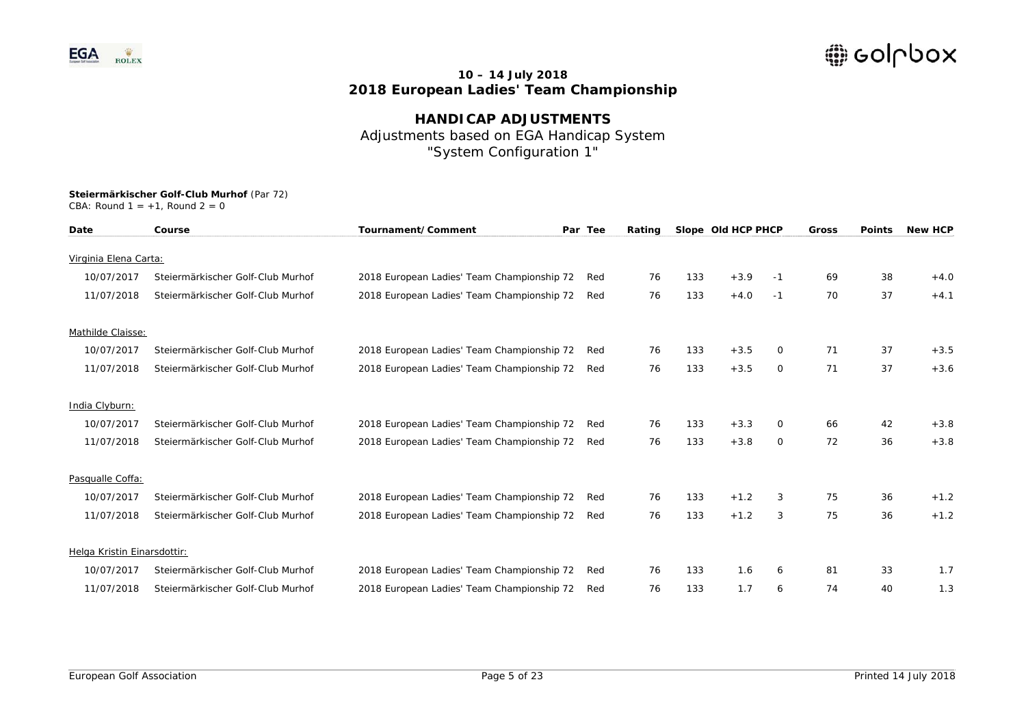

**HANDICAP ADJUSTMENTS**  Adjustments based on EGA Handicap System "System Configuration 1"

| Date                        | Course                            | Tournament/Comment                         | Par Tee | Rating |     | Slope Old HCP PHCP |    | <b>Gross</b> | <b>Points</b> | <b>New HCP</b> |
|-----------------------------|-----------------------------------|--------------------------------------------|---------|--------|-----|--------------------|----|--------------|---------------|----------------|
| Virginia Elena Carta:       |                                   |                                            |         |        |     |                    |    |              |               |                |
| 10/07/2017                  | Steiermärkischer Golf-Club Murhof | 2018 European Ladies' Team Championship 72 | Red     | 76     | 133 | $+3.9$             | -1 | 69           | 38            | $+4.0$         |
| 11/07/2018                  | Steiermärkischer Golf-Club Murhof | 2018 European Ladies' Team Championship 72 | Red     | 76     | 133 | $+4.0$             | -1 | 70           | 37            | $+4.1$         |
|                             |                                   |                                            |         |        |     |                    |    |              |               |                |
| Mathilde Claisse:           |                                   |                                            |         |        |     |                    |    |              |               |                |
| 10/07/2017                  | Steiermärkischer Golf-Club Murhof | 2018 European Ladies' Team Championship 72 | Red     | 76     | 133 | $+3.5$             | 0  | 71           | 37            | $+3.5$         |
| 11/07/2018                  | Steiermärkischer Golf-Club Murhof | 2018 European Ladies' Team Championship 72 | Red     | 76     | 133 | $+3.5$             | 0  | 71           | 37            | $+3.6$         |
| India Clyburn:              |                                   |                                            |         |        |     |                    |    |              |               |                |
| 10/07/2017                  | Steiermärkischer Golf-Club Murhof | 2018 European Ladies' Team Championship 72 | Red     | 76     | 133 | $+3.3$             | 0  | 66           | 42            | $+3.8$         |
| 11/07/2018                  | Steiermärkischer Golf-Club Murhof | 2018 European Ladies' Team Championship 72 | Red     | 76     | 133 | $+3.8$             | 0  | 72           | 36            | $+3.8$         |
| Pasqualle Coffa:            |                                   |                                            |         |        |     |                    |    |              |               |                |
| 10/07/2017                  | Steiermärkischer Golf-Club Murhof | 2018 European Ladies' Team Championship 72 | Red     | 76     | 133 | $+1.2$             | 3  | 75           | 36            | $+1.2$         |
| 11/07/2018                  | Steiermärkischer Golf-Club Murhof | 2018 European Ladies' Team Championship 72 | Red     | 76     | 133 | $+1.2$             | 3  | 75           | 36            | $+1.2$         |
|                             |                                   |                                            |         |        |     |                    |    |              |               |                |
| Helga Kristin Einarsdottir: |                                   |                                            |         |        |     |                    |    |              |               |                |
| 10/07/2017                  | Steiermärkischer Golf-Club Murhof | 2018 European Ladies' Team Championship 72 | Red     | 76     | 133 | 1.6                | 6  | 81           | 33            | 1.7            |
| 11/07/2018                  | Steiermärkischer Golf-Club Murhof | 2018 European Ladies' Team Championship 72 | Red     | 76     | 133 | 1.7                | 6  | 74           | 40            | 1.3            |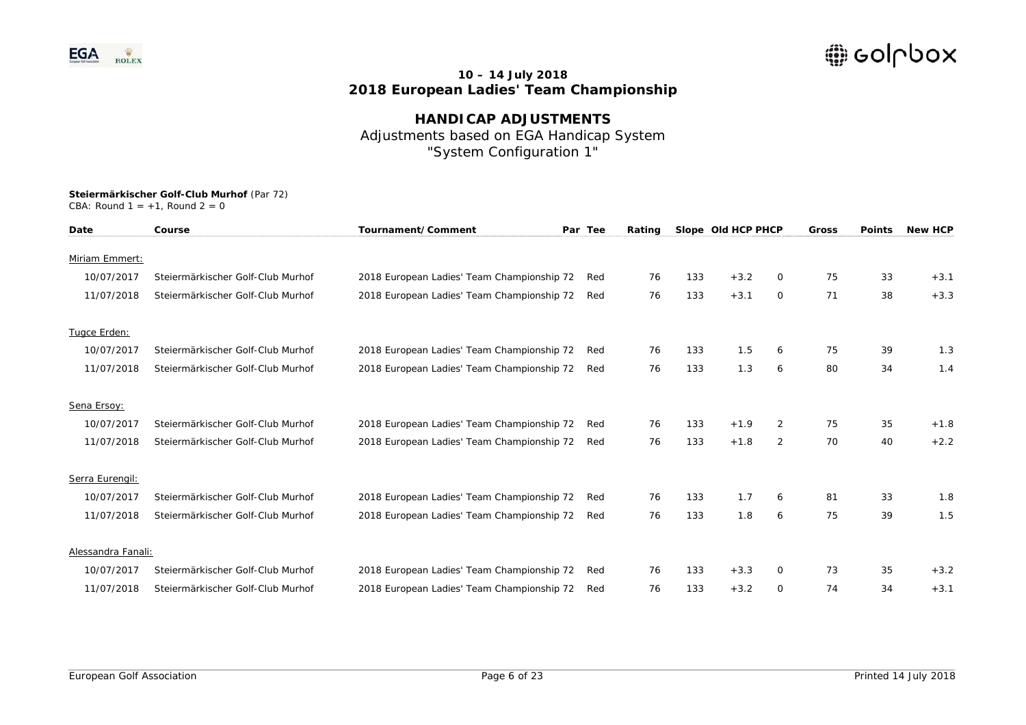

**HANDICAP ADJUSTMENTS**  Adjustments based on EGA Handicap System "System Configuration 1"

| Date               | Course                            | Tournament/Comment                         | Par Tee | Rating |     | Slope Old HCP PHCP |                | Gross | <b>Points</b> | <b>New HCP</b> |
|--------------------|-----------------------------------|--------------------------------------------|---------|--------|-----|--------------------|----------------|-------|---------------|----------------|
| Miriam Emmert:     |                                   |                                            |         |        |     |                    |                |       |               |                |
|                    |                                   |                                            |         |        |     |                    |                |       |               |                |
| 10/07/2017         | Steiermärkischer Golf-Club Murhof | 2018 European Ladies' Team Championship 72 | Red     | 76     | 133 | $+3.2$             | 0              | 75    | 33            | $+3.1$         |
| 11/07/2018         | Steiermärkischer Golf-Club Murhof | 2018 European Ladies' Team Championship 72 | Red     | 76     | 133 | $+3.1$             | $\circ$        | 71    | 38            | $+3.3$         |
| Tugce Erden:       |                                   |                                            |         |        |     |                    |                |       |               |                |
| 10/07/2017         | Steiermärkischer Golf-Club Murhof | 2018 European Ladies' Team Championship 72 | Red     | 76     | 133 | 1.5                | 6              | 75    | 39            | 1.3            |
| 11/07/2018         | Steiermärkischer Golf-Club Murhof | 2018 European Ladies' Team Championship 72 | Red     | 76     | 133 | 1.3                | 6              | 80    | 34            | 1.4            |
| Sena Ersoy:        |                                   |                                            |         |        |     |                    |                |       |               |                |
| 10/07/2017         | Steiermärkischer Golf-Club Murhof | 2018 European Ladies' Team Championship 72 | Red     | 76     | 133 | $+1.9$             | $\overline{2}$ | 75    | 35            | $+1.8$         |
| 11/07/2018         | Steiermärkischer Golf-Club Murhof | 2018 European Ladies' Team Championship 72 | Red     | 76     | 133 | $+1.8$             | 2              | 70    | 40            | $+2.2$         |
| Serra Eurengil:    |                                   |                                            |         |        |     |                    |                |       |               |                |
|                    |                                   |                                            |         |        |     |                    |                |       |               |                |
| 10/07/2017         | Steiermärkischer Golf-Club Murhof | 2018 European Ladies' Team Championship 72 | Red     | 76     | 133 | 1.7                | 6              | 81    | 33            | 1.8            |
| 11/07/2018         | Steiermärkischer Golf-Club Murhof | 2018 European Ladies' Team Championship 72 | Red     | 76     | 133 | 1.8                | 6              | 75    | 39            | 1.5            |
| Alessandra Fanali: |                                   |                                            |         |        |     |                    |                |       |               |                |
| 10/07/2017         | Steiermärkischer Golf-Club Murhof | 2018 European Ladies' Team Championship 72 | Red     | 76     | 133 | $+3.3$             | $\mathbf{O}$   | 73    | 35            | $+3.2$         |
| 11/07/2018         | Steiermärkischer Golf-Club Murhof | 2018 European Ladies' Team Championship 72 | Red     | 76     | 133 | $+3.2$             | $\Omega$       | 74    | 34            | $+3.1$         |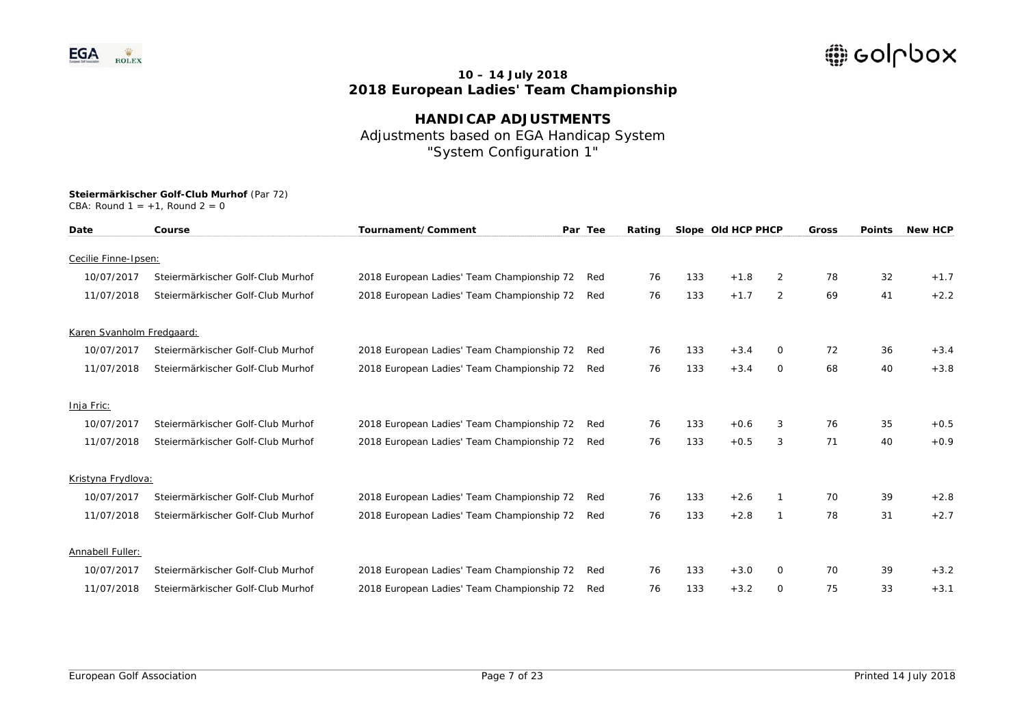

**HANDICAP ADJUSTMENTS**  Adjustments based on EGA Handicap System "System Configuration 1"

| Date                      | Course                            | Tournament/Comment                         | Par Tee | Rating |     | Slope Old HCP PHCP |                | <b>Gross</b> | <b>Points</b> | <b>New HCP</b> |
|---------------------------|-----------------------------------|--------------------------------------------|---------|--------|-----|--------------------|----------------|--------------|---------------|----------------|
| Cecilie Finne-Ipsen:      |                                   |                                            |         |        |     |                    |                |              |               |                |
| 10/07/2017                | Steiermärkischer Golf-Club Murhof | 2018 European Ladies' Team Championship 72 | Red     | 76     | 133 | $+1.8$             | $\overline{2}$ | 78           | 32            | $+1.7$         |
|                           |                                   |                                            |         |        |     |                    |                |              |               |                |
| 11/07/2018                | Steiermärkischer Golf-Club Murhof | 2018 European Ladies' Team Championship 72 | Red     | 76     | 133 | $+1.7$             | 2              | 69           | 41            | $+2.2$         |
| Karen Svanholm Fredgaard: |                                   |                                            |         |        |     |                    |                |              |               |                |
| 10/07/2017                | Steiermärkischer Golf-Club Murhof | 2018 European Ladies' Team Championship 72 | Red     | 76     | 133 | $+3.4$             | 0              | 72           | 36            | $+3.4$         |
| 11/07/2018                | Steiermärkischer Golf-Club Murhof | 2018 European Ladies' Team Championship 72 | Red     | 76     | 133 | $+3.4$             | 0              | 68           | 40            | $+3.8$         |
| Inja Fric:                |                                   |                                            |         |        |     |                    |                |              |               |                |
| 10/07/2017                | Steiermärkischer Golf-Club Murhof | 2018 European Ladies' Team Championship 72 | Red     | 76     | 133 | $+0.6$             | 3              | 76           | 35            | $+0.5$         |
| 11/07/2018                | Steiermärkischer Golf-Club Murhof | 2018 European Ladies' Team Championship 72 | Red     | 76     | 133 | $+0.5$             | 3              | 71           | 40            | $+0.9$         |
| Kristyna Frydlova:        |                                   |                                            |         |        |     |                    |                |              |               |                |
| 10/07/2017                | Steiermärkischer Golf-Club Murhof | 2018 European Ladies' Team Championship 72 | Red     | 76     | 133 | $+2.6$             |                | 70           | 39            | $+2.8$         |
|                           |                                   |                                            |         |        |     |                    |                |              |               |                |
| 11/07/2018                | Steiermärkischer Golf-Club Murhof | 2018 European Ladies' Team Championship 72 | Red     | 76     | 133 | $+2.8$             | 1              | 78           | 31            | $+2.7$         |
| Annabell Fuller:          |                                   |                                            |         |        |     |                    |                |              |               |                |
| 10/07/2017                | Steiermärkischer Golf-Club Murhof | 2018 European Ladies' Team Championship 72 | Red     | 76     | 133 | $+3.0$             | 0              | 70           | 39            | $+3.2$         |
| 11/07/2018                | Steiermärkischer Golf-Club Murhof | 2018 European Ladies' Team Championship 72 | Red     | 76     | 133 | $+3.2$             | 0              | 75           | 33            | $+3.1$         |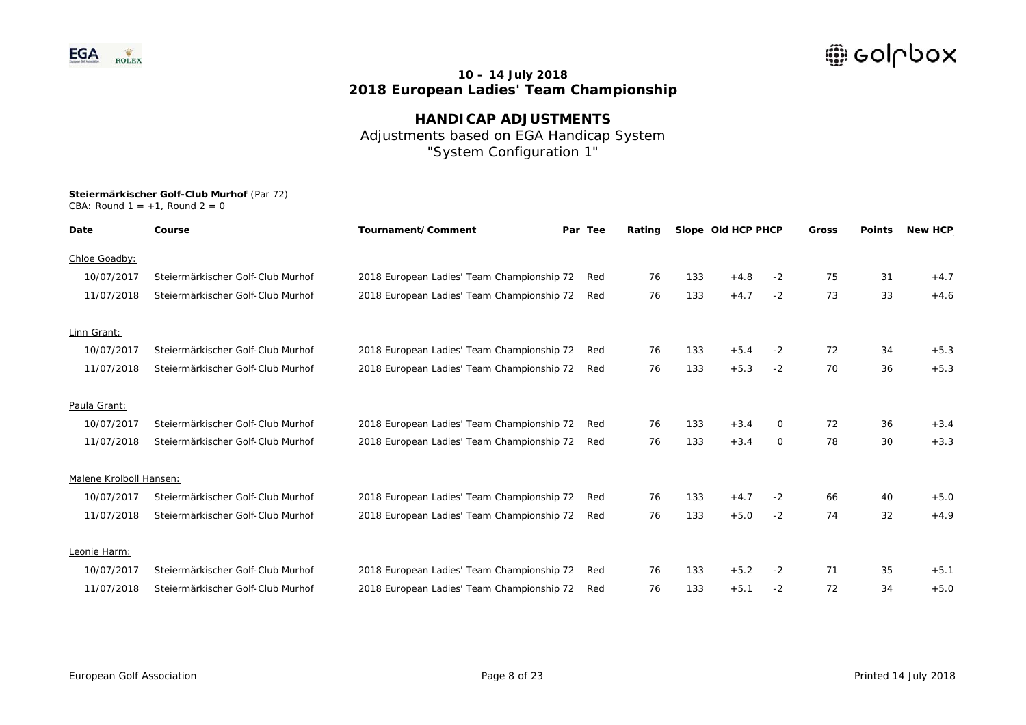

**HANDICAP ADJUSTMENTS**  Adjustments based on EGA Handicap System "System Configuration 1"

| Date                    | Course                            | Tournament/Comment                         | Par Tee | Rating |     | Slope Old HCP PHCP |      | <b>Gross</b> | <b>Points</b> | <b>New HCP</b> |
|-------------------------|-----------------------------------|--------------------------------------------|---------|--------|-----|--------------------|------|--------------|---------------|----------------|
| Chloe Goadby:           |                                   |                                            |         |        |     |                    |      |              |               |                |
| 10/07/2017              | Steiermärkischer Golf-Club Murhof | 2018 European Ladies' Team Championship 72 | Red     | 76     | 133 | $+4.8$             | $-2$ | 75           | 31            | $+4.7$         |
| 11/07/2018              | Steiermärkischer Golf-Club Murhof | 2018 European Ladies' Team Championship 72 | Red     | 76     | 133 | $+4.7$             | $-2$ | 73           | 33            | $+4.6$         |
| Linn Grant:             |                                   |                                            |         |        |     |                    |      |              |               |                |
| 10/07/2017              | Steiermärkischer Golf-Club Murhof | 2018 European Ladies' Team Championship 72 | Red     | 76     | 133 | $+5.4$             | $-2$ | 72           | 34            | $+5.3$         |
| 11/07/2018              | Steiermärkischer Golf-Club Murhof | 2018 European Ladies' Team Championship 72 | Red     | 76     | 133 | $+5.3$             | $-2$ | 70           | 36            | $+5.3$         |
| Paula Grant:            |                                   |                                            |         |        |     |                    |      |              |               |                |
| 10/07/2017              | Steiermärkischer Golf-Club Murhof | 2018 European Ladies' Team Championship 72 | Red     | 76     | 133 | $+3.4$             | 0    | 72           | 36            | $+3.4$         |
| 11/07/2018              | Steiermärkischer Golf-Club Murhof | 2018 European Ladies' Team Championship 72 | Red     | 76     | 133 | $+3.4$             | 0    | 78           | 30            | $+3.3$         |
| Malene Krolboll Hansen: |                                   |                                            |         |        |     |                    |      |              |               |                |
| 10/07/2017              | Steiermärkischer Golf-Club Murhof | 2018 European Ladies' Team Championship 72 | Red     | 76     | 133 | $+4.7$             | $-2$ | 66           | 40            | $+5.0$         |
| 11/07/2018              | Steiermärkischer Golf-Club Murhof | 2018 European Ladies' Team Championship 72 | Red     | 76     | 133 | $+5.0$             | $-2$ | 74           | 32            | $+4.9$         |
| Leonie Harm:            |                                   |                                            |         |        |     |                    |      |              |               |                |
| 10/07/2017              | Steiermärkischer Golf-Club Murhof | 2018 European Ladies' Team Championship 72 | Red     | 76     | 133 | $+5.2$             | $-2$ | 71           | 35            | $+5.1$         |
| 11/07/2018              | Steiermärkischer Golf-Club Murhof | 2018 European Ladies' Team Championship 72 | Red     | 76     | 133 | $+5.1$             | $-2$ | 72           | 34            | $+5.0$         |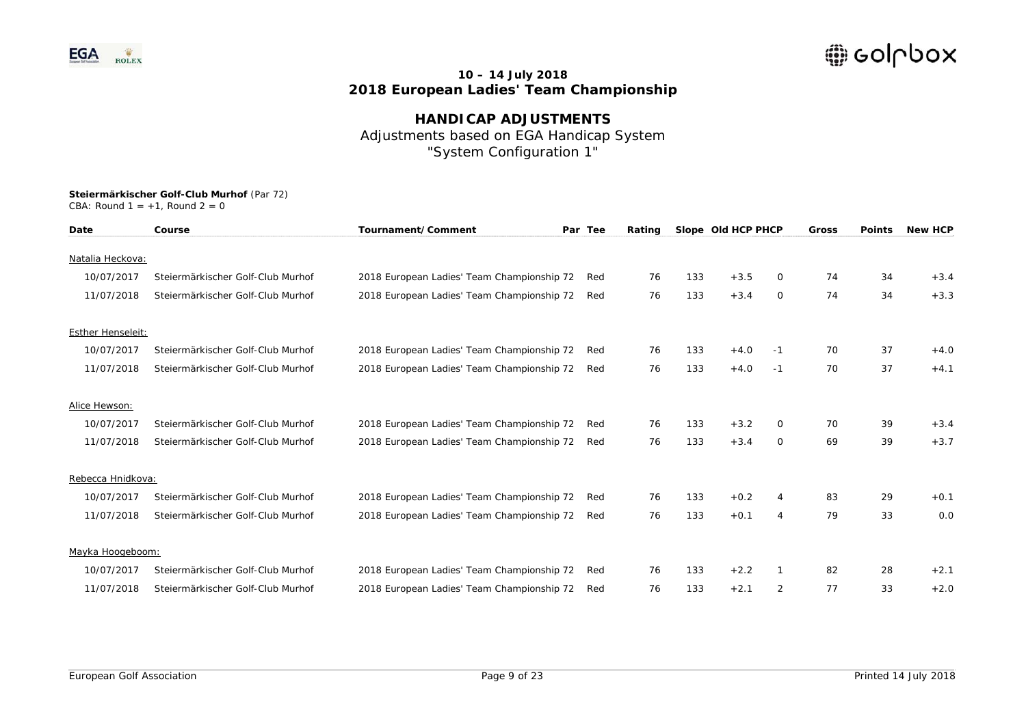

**HANDICAP ADJUSTMENTS**  Adjustments based on EGA Handicap System "System Configuration 1"

| Date                     | Course                            | Tournament/Comment                         | Par Tee | Rating |     | Slope Old HCP PHCP |      | <b>Gross</b> | <b>Points</b> | <b>New HCP</b> |
|--------------------------|-----------------------------------|--------------------------------------------|---------|--------|-----|--------------------|------|--------------|---------------|----------------|
| Natalia Heckova:         |                                   |                                            |         |        |     |                    |      |              |               |                |
| 10/07/2017               | Steiermärkischer Golf-Club Murhof | 2018 European Ladies' Team Championship 72 | Red     | 76     | 133 | $+3.5$             | 0    | 74           | 34            | $+3.4$         |
| 11/07/2018               | Steiermärkischer Golf-Club Murhof | 2018 European Ladies' Team Championship 72 | Red     | 76     | 133 | $+3.4$             | 0    | 74           | 34            | $+3.3$         |
| <b>Esther Henseleit:</b> |                                   |                                            |         |        |     |                    |      |              |               |                |
| 10/07/2017               | Steiermärkischer Golf-Club Murhof | 2018 European Ladies' Team Championship 72 | Red     | 76     | 133 | $+4.0$             | -1   | 70           | 37            | $+4.0$         |
| 11/07/2018               | Steiermärkischer Golf-Club Murhof | 2018 European Ladies' Team Championship 72 | Red     | 76     | 133 | $+4.0$             | $-1$ | 70           | 37            | $+4.1$         |
| Alice Hewson:            |                                   |                                            |         |        |     |                    |      |              |               |                |
| 10/07/2017               | Steiermärkischer Golf-Club Murhof | 2018 European Ladies' Team Championship 72 | Red     | 76     | 133 | $+3.2$             | 0    | 70           | 39            | $+3.4$         |
| 11/07/2018               | Steiermärkischer Golf-Club Murhof | 2018 European Ladies' Team Championship 72 | Red     | 76     | 133 | $+3.4$             | 0    | 69           | 39            | $+3.7$         |
| Rebecca Hnidkova:        |                                   |                                            |         |        |     |                    |      |              |               |                |
| 10/07/2017               | Steiermärkischer Golf-Club Murhof | 2018 European Ladies' Team Championship 72 | Red     | 76     | 133 | $+0.2$             | 4    | 83           | 29            | $+0.1$         |
| 11/07/2018               | Steiermärkischer Golf-Club Murhof | 2018 European Ladies' Team Championship 72 | Red     | 76     | 133 | $+0.1$             | 4    | 79           | 33            | 0.0            |
| Mayka Hoogeboom:         |                                   |                                            |         |        |     |                    |      |              |               |                |
| 10/07/2017               | Steiermärkischer Golf-Club Murhof | 2018 European Ladies' Team Championship 72 | Red     | 76     | 133 | $+2.2$             |      | 82           | 28            | $+2.1$         |
| 11/07/2018               | Steiermärkischer Golf-Club Murhof | 2018 European Ladies' Team Championship 72 | Red     | 76     | 133 | $+2.1$             | 2    | 77           | 33            | $+2.0$         |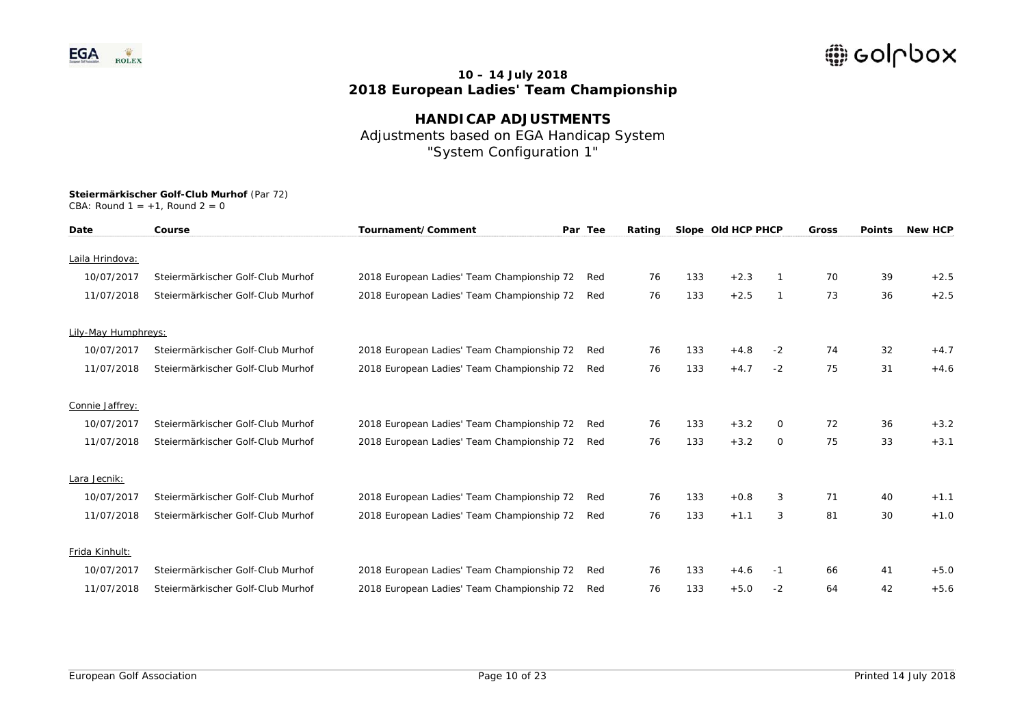

**HANDICAP ADJUSTMENTS**  Adjustments based on EGA Handicap System "System Configuration 1"

| Date                | Course                            | Tournament/Comment                         | Par Tee | Rating |     | Slope Old HCP PHCP |              | Gross | <b>Points</b> | <b>New HCP</b> |
|---------------------|-----------------------------------|--------------------------------------------|---------|--------|-----|--------------------|--------------|-------|---------------|----------------|
| Laila Hrindova:     |                                   |                                            |         |        |     |                    |              |       |               |                |
| 10/07/2017          | Steiermärkischer Golf-Club Murhof | 2018 European Ladies' Team Championship 72 | Red     | 76     | 133 | $+2.3$             |              | 70    | 39            | $+2.5$         |
| 11/07/2018          | Steiermärkischer Golf-Club Murhof | 2018 European Ladies' Team Championship 72 | Red     | 76     | 133 | $+2.5$             | $\mathbf{1}$ | 73    | 36            | $+2.5$         |
| Lily-May Humphreys: |                                   |                                            |         |        |     |                    |              |       |               |                |
| 10/07/2017          | Steiermärkischer Golf-Club Murhof | 2018 European Ladies' Team Championship 72 | Red     | 76     | 133 | $+4.8$             | $-2$         | 74    | 32            | $+4.7$         |
| 11/07/2018          | Steiermärkischer Golf-Club Murhof | 2018 European Ladies' Team Championship 72 | Red     | 76     | 133 | $+4.7$             | $-2$         | 75    | 31            | $+4.6$         |
| Connie Jaffrey:     |                                   |                                            |         |        |     |                    |              |       |               |                |
| 10/07/2017          | Steiermärkischer Golf-Club Murhof | 2018 European Ladies' Team Championship 72 | Red     | 76     | 133 | $+3.2$             | 0            | 72    | 36            | $+3.2$         |
| 11/07/2018          | Steiermärkischer Golf-Club Murhof | 2018 European Ladies' Team Championship 72 | Red     | 76     | 133 | $+3.2$             | 0            | 75    | 33            | $+3.1$         |
| Lara Jecnik:        |                                   |                                            |         |        |     |                    |              |       |               |                |
| 10/07/2017          | Steiermärkischer Golf-Club Murhof | 2018 European Ladies' Team Championship 72 | Red     | 76     | 133 | $+0.8$             | 3            | 71    | 40            | $+1.1$         |
| 11/07/2018          | Steiermärkischer Golf-Club Murhof | 2018 European Ladies' Team Championship 72 | Red     | 76     | 133 | $+1.1$             | 3            | 81    | 30            | $+1.0$         |
| Frida Kinhult:      |                                   |                                            |         |        |     |                    |              |       |               |                |
| 10/07/2017          | Steiermärkischer Golf-Club Murhof | 2018 European Ladies' Team Championship 72 | Red     | 76     | 133 | $+4.6$             | -1           | 66    | 41            | $+5.0$         |
| 11/07/2018          | Steiermärkischer Golf-Club Murhof | 2018 European Ladies' Team Championship 72 | Red     | 76     | 133 | $+5.0$             | $-2$         | 64    | 42            | $+5.6$         |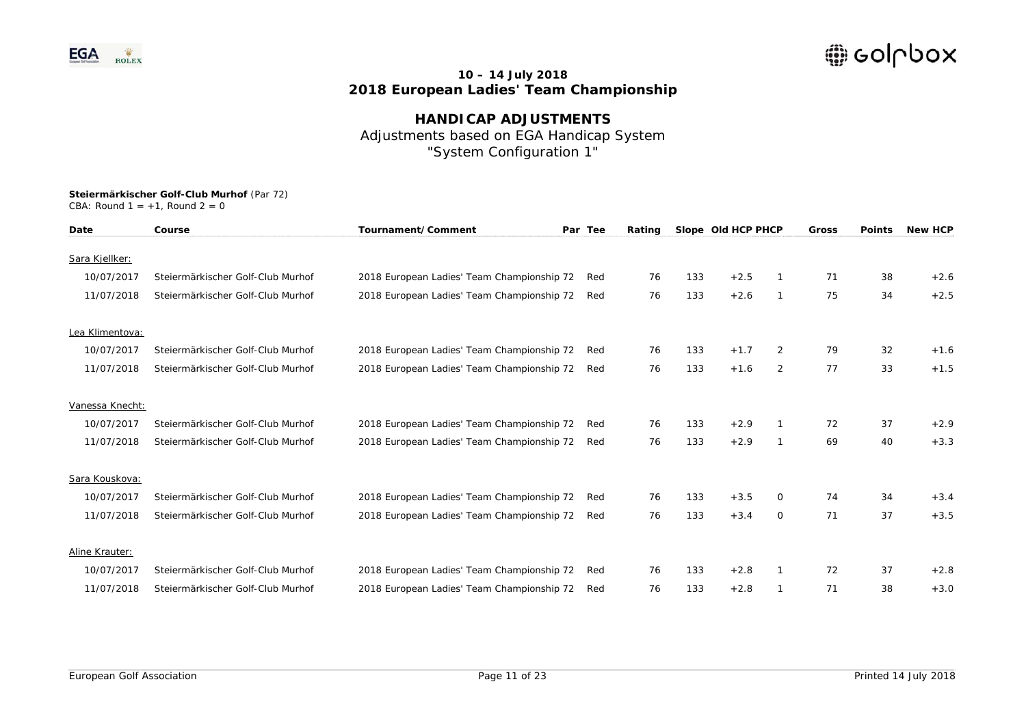

**HANDICAP ADJUSTMENTS**  Adjustments based on EGA Handicap System "System Configuration 1"

| Date            | Course                            | Tournament/Comment                         | Par Tee | Rating |     | Slope Old HCP PHCP |                | Gross | <b>Points</b> | <b>New HCP</b> |
|-----------------|-----------------------------------|--------------------------------------------|---------|--------|-----|--------------------|----------------|-------|---------------|----------------|
| Sara Kjellker:  |                                   |                                            |         |        |     |                    |                |       |               |                |
| 10/07/2017      | Steiermärkischer Golf-Club Murhof | 2018 European Ladies' Team Championship 72 | Red     | 76     | 133 | $+2.5$             |                | 71    | 38            | $+2.6$         |
| 11/07/2018      | Steiermärkischer Golf-Club Murhof | 2018 European Ladies' Team Championship 72 | Red     | 76     | 133 | $+2.6$             |                | 75    | 34            | $+2.5$         |
| Lea Klimentova: |                                   |                                            |         |        |     |                    |                |       |               |                |
| 10/07/2017      | Steiermärkischer Golf-Club Murhof | 2018 European Ladies' Team Championship 72 | Red     | 76     | 133 | $+1.7$             | 2              | 79    | 32            | $+1.6$         |
| 11/07/2018      | Steiermärkischer Golf-Club Murhof | 2018 European Ladies' Team Championship 72 | Red     | 76     | 133 | $+1.6$             | 2              | 77    | 33            | $+1.5$         |
| Vanessa Knecht: |                                   |                                            |         |        |     |                    |                |       |               |                |
| 10/07/2017      | Steiermärkischer Golf-Club Murhof | 2018 European Ladies' Team Championship 72 | Red     | 76     | 133 | $+2.9$             |                | 72    | 37            | $+2.9$         |
| 11/07/2018      | Steiermärkischer Golf-Club Murhof | 2018 European Ladies' Team Championship 72 | Red     | 76     | 133 | $+2.9$             |                | 69    | 40            | $+3.3$         |
| Sara Kouskova:  |                                   |                                            |         |        |     |                    |                |       |               |                |
| 10/07/2017      | Steiermärkischer Golf-Club Murhof | 2018 European Ladies' Team Championship 72 | Red     | 76     | 133 | $+3.5$             | $\Omega$       | 74    | 34            | $+3.4$         |
| 11/07/2018      | Steiermärkischer Golf-Club Murhof | 2018 European Ladies' Team Championship 72 | Red     | 76     | 133 | $+3.4$             | $\overline{0}$ | 71    | 37            | $+3.5$         |
| Aline Krauter:  |                                   |                                            |         |        |     |                    |                |       |               |                |
| 10/07/2017      | Steiermärkischer Golf-Club Murhof | 2018 European Ladies' Team Championship 72 | Red     | 76     | 133 | $+2.8$             |                | 72    | 37            | $+2.8$         |
| 11/07/2018      | Steiermärkischer Golf-Club Murhof | 2018 European Ladies' Team Championship 72 | Red     | 76     | 133 | $+2.8$             |                | 71    | 38            | $+3.0$         |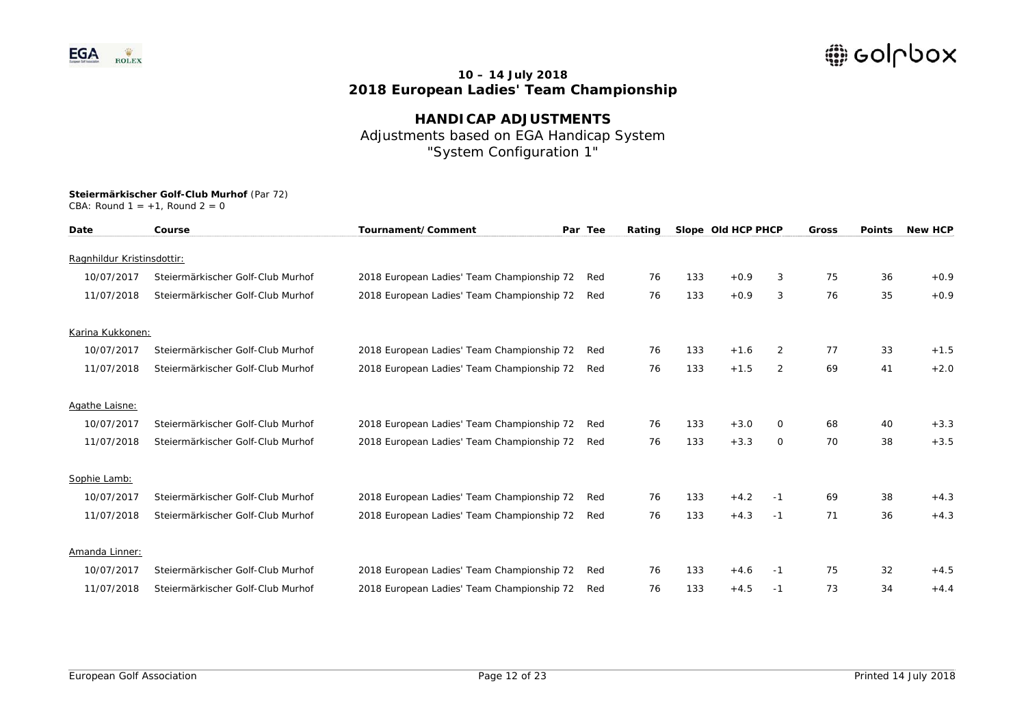

**HANDICAP ADJUSTMENTS**  Adjustments based on EGA Handicap System "System Configuration 1"

| Date                       | Course                            | Tournament/Comment                         | Par Tee | Rating |     | Slope Old HCP PHCP |                | <b>Gross</b> | <b>Points</b> | <b>New HCP</b> |
|----------------------------|-----------------------------------|--------------------------------------------|---------|--------|-----|--------------------|----------------|--------------|---------------|----------------|
| Ragnhildur Kristinsdottir: |                                   |                                            |         |        |     |                    |                |              |               |                |
| 10/07/2017                 | Steiermärkischer Golf-Club Murhof | 2018 European Ladies' Team Championship 72 | Red     | 76     | 133 | $+0.9$             | 3              | 75           | 36            | $+0.9$         |
| 11/07/2018                 | Steiermärkischer Golf-Club Murhof | 2018 European Ladies' Team Championship 72 | Red     | 76     | 133 | $+0.9$             | 3              | 76           | 35            | $+0.9$         |
|                            |                                   |                                            |         |        |     |                    |                |              |               |                |
| Karina Kukkonen:           |                                   |                                            |         |        |     |                    |                |              |               |                |
| 10/07/2017                 | Steiermärkischer Golf-Club Murhof | 2018 European Ladies' Team Championship 72 | Red     | 76     | 133 | $+1.6$             | 2              | 77           | 33            | $+1.5$         |
| 11/07/2018                 | Steiermärkischer Golf-Club Murhof | 2018 European Ladies' Team Championship 72 | Red     | 76     | 133 | $+1.5$             | $\overline{2}$ | 69           | 41            | $+2.0$         |
|                            |                                   |                                            |         |        |     |                    |                |              |               |                |
| Agathe Laisne:             |                                   |                                            |         |        |     |                    |                |              |               |                |
| 10/07/2017                 | Steiermärkischer Golf-Club Murhof | 2018 European Ladies' Team Championship 72 | Red     | 76     | 133 | $+3.0$             | 0              | 68           | 40            | $+3.3$         |
| 11/07/2018                 | Steiermärkischer Golf-Club Murhof | 2018 European Ladies' Team Championship 72 | Red     | 76     | 133 | $+3.3$             | $\circ$        | 70           | 38            | $+3.5$         |
|                            |                                   |                                            |         |        |     |                    |                |              |               |                |
| Sophie Lamb:               |                                   |                                            |         |        |     |                    |                |              |               |                |
| 10/07/2017                 | Steiermärkischer Golf-Club Murhof | 2018 European Ladies' Team Championship 72 | Red     | 76     | 133 | $+4.2$             | $-1$           | 69           | 38            | $+4.3$         |
| 11/07/2018                 | Steiermärkischer Golf-Club Murhof | 2018 European Ladies' Team Championship 72 | Red     | 76     | 133 | $+4.3$             | $-1$           | 71           | 36            | $+4.3$         |
|                            |                                   |                                            |         |        |     |                    |                |              |               |                |
| Amanda Linner:             |                                   |                                            |         |        |     |                    |                |              |               |                |
| 10/07/2017                 | Steiermärkischer Golf-Club Murhof | 2018 European Ladies' Team Championship 72 | Red     | 76     | 133 | $+4.6$             | $-1$           | 75           | 32            | $+4.5$         |
| 11/07/2018                 | Steiermärkischer Golf-Club Murhof | 2018 European Ladies' Team Championship 72 | Red     | 76     | 133 | $+4.5$             | $-1$           | 73           | 34            | $+4.4$         |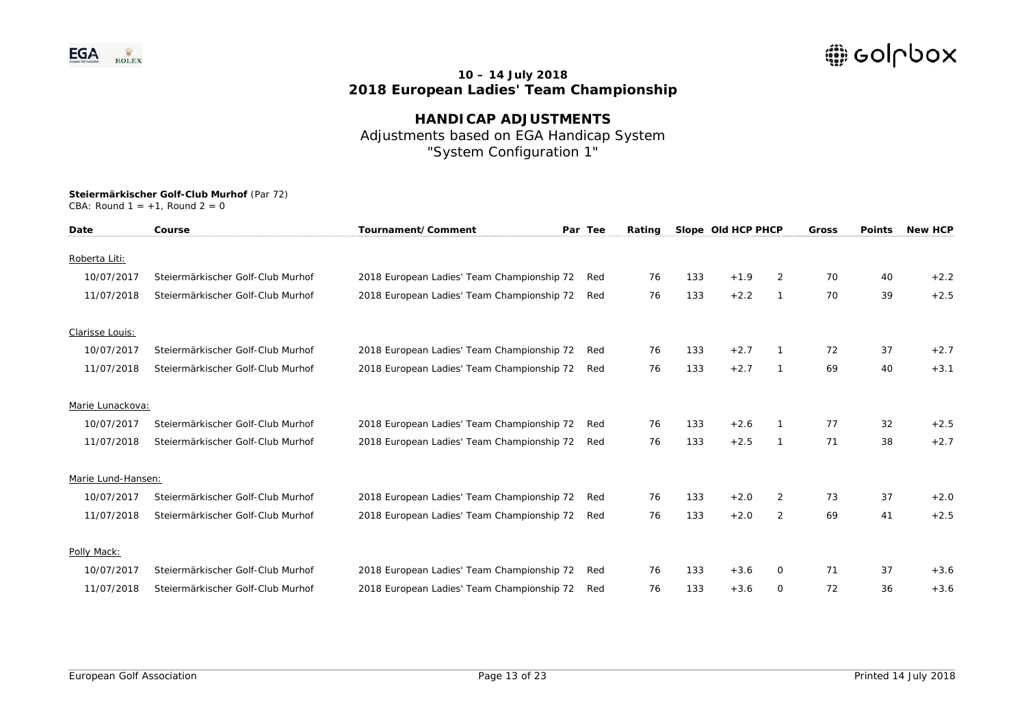

**HANDICAP ADJUSTMENTS**  Adjustments based on EGA Handicap System "System Configuration 1"

| Date               | Course                            | Tournament/Comment                         | Par Tee | Rating |     | Slope Old HCP PHCP |                | Gross | <b>Points</b> | <b>New HCP</b> |
|--------------------|-----------------------------------|--------------------------------------------|---------|--------|-----|--------------------|----------------|-------|---------------|----------------|
| Roberta Liti:      |                                   |                                            |         |        |     |                    |                |       |               |                |
| 10/07/2017         | Steiermärkischer Golf-Club Murhof | 2018 European Ladies' Team Championship 72 | Red     | 76     | 133 | $+1.9$             | 2              | 70    | 40            | $+2.2$         |
| 11/07/2018         | Steiermärkischer Golf-Club Murhof | 2018 European Ladies' Team Championship 72 | Red     | 76     | 133 | $+2.2$             | $\mathbf{1}$   | 70    | 39            | $+2.5$         |
| Clarisse Louis:    |                                   |                                            |         |        |     |                    |                |       |               |                |
| 10/07/2017         | Steiermärkischer Golf-Club Murhof | 2018 European Ladies' Team Championship 72 | Red     | 76     | 133 | $+2.7$             |                | 72    | 37            | $+2.7$         |
| 11/07/2018         | Steiermärkischer Golf-Club Murhof | 2018 European Ladies' Team Championship 72 | Red     | 76     | 133 | $+2.7$             | $\mathbf{1}$   | 69    | 40            | $+3.1$         |
| Marie Lunackova:   |                                   |                                            |         |        |     |                    |                |       |               |                |
| 10/07/2017         | Steiermärkischer Golf-Club Murhof | 2018 European Ladies' Team Championship 72 | Red     | 76     | 133 | $+2.6$             |                | 77    | 32            | $+2.5$         |
| 11/07/2018         | Steiermärkischer Golf-Club Murhof | 2018 European Ladies' Team Championship 72 | Red     | 76     | 133 | $+2.5$             | $\mathbf{1}$   | 71    | 38            | $+2.7$         |
| Marie Lund-Hansen: |                                   |                                            |         |        |     |                    |                |       |               |                |
| 10/07/2017         | Steiermärkischer Golf-Club Murhof | 2018 European Ladies' Team Championship 72 | Red     | 76     | 133 | $+2.0$             | $\overline{2}$ | 73    | 37            | $+2.0$         |
| 11/07/2018         | Steiermärkischer Golf-Club Murhof | 2018 European Ladies' Team Championship 72 | Red     | 76     | 133 | $+2.0$             | $\overline{2}$ | 69    | 41            | $+2.5$         |
| Polly Mack:        |                                   |                                            |         |        |     |                    |                |       |               |                |
| 10/07/2017         | Steiermärkischer Golf-Club Murhof | 2018 European Ladies' Team Championship 72 | Red     | 76     | 133 | $+3.6$             | 0              | 71    | 37            | $+3.6$         |
| 11/07/2018         | Steiermärkischer Golf-Club Murhof | 2018 European Ladies' Team Championship 72 | Red     | 76     | 133 | $+3.6$             | 0              | 72    | 36            | $+3.6$         |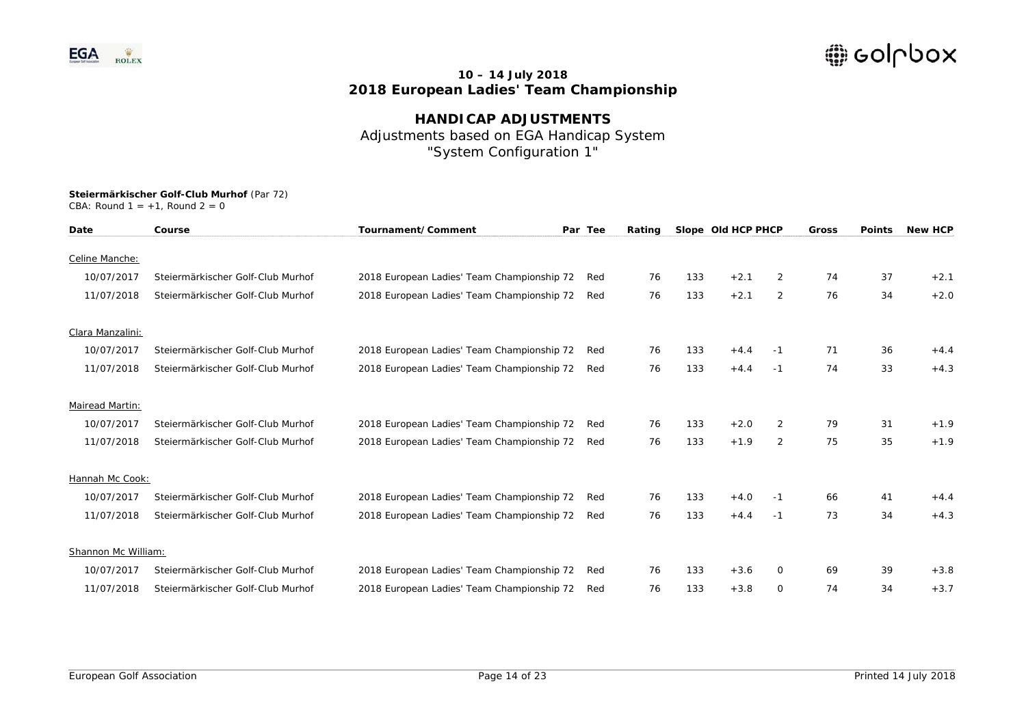

**HANDICAP ADJUSTMENTS**  Adjustments based on EGA Handicap System "System Configuration 1"

| Date                | Course                            | Tournament/Comment                         | Par Tee | Rating |     | Slope Old HCP PHCP |                | Gross | <b>Points</b> | <b>New HCP</b> |
|---------------------|-----------------------------------|--------------------------------------------|---------|--------|-----|--------------------|----------------|-------|---------------|----------------|
| Celine Manche:      |                                   |                                            |         |        |     |                    |                |       |               |                |
| 10/07/2017          | Steiermärkischer Golf-Club Murhof | 2018 European Ladies' Team Championship 72 | Red     | 76     | 133 | $+2.1$             | $\overline{2}$ | 74    | 37            | $+2.1$         |
| 11/07/2018          | Steiermärkischer Golf-Club Murhof | 2018 European Ladies' Team Championship 72 | Red     | 76     | 133 | $+2.1$             | 2              | 76    | 34            | $+2.0$         |
| Clara Manzalini:    |                                   |                                            |         |        |     |                    |                |       |               |                |
| 10/07/2017          | Steiermärkischer Golf-Club Murhof | 2018 European Ladies' Team Championship 72 | Red     | 76     | 133 | $+4.4$             | -1             | 71    | 36            | $+4.4$         |
| 11/07/2018          | Steiermärkischer Golf-Club Murhof | 2018 European Ladies' Team Championship 72 | Red     | 76     | 133 | $+4.4$             | $-1$           | 74    | 33            | $+4.3$         |
| Mairead Martin:     |                                   |                                            |         |        |     |                    |                |       |               |                |
| 10/07/2017          | Steiermärkischer Golf-Club Murhof | 2018 European Ladies' Team Championship 72 | Red     | 76     | 133 | $+2.0$             | $\overline{2}$ | 79    | 31            | $+1.9$         |
| 11/07/2018          | Steiermärkischer Golf-Club Murhof | 2018 European Ladies' Team Championship 72 | Red     | 76     | 133 | $+1.9$             | 2              | 75    | 35            | $+1.9$         |
| Hannah Mc Cook:     |                                   |                                            |         |        |     |                    |                |       |               |                |
| 10/07/2017          | Steiermärkischer Golf-Club Murhof | 2018 European Ladies' Team Championship 72 | Red     | 76     | 133 | $+4.0$             | $-1$           | 66    | 41            | $+4.4$         |
| 11/07/2018          | Steiermärkischer Golf-Club Murhof | 2018 European Ladies' Team Championship 72 | Red     | 76     | 133 | $+4.4$             | $-1$           | 73    | 34            | $+4.3$         |
| Shannon Mc William: |                                   |                                            |         |        |     |                    |                |       |               |                |
| 10/07/2017          | Steiermärkischer Golf-Club Murhof | 2018 European Ladies' Team Championship 72 | Red     | 76     | 133 | $+3.6$             | $\Omega$       | 69    | 39            | $+3.8$         |
| 11/07/2018          | Steiermärkischer Golf-Club Murhof | 2018 European Ladies' Team Championship 72 | Red     | 76     | 133 | $+3.8$             | $\Omega$       | 74    | 34            | $+3.7$         |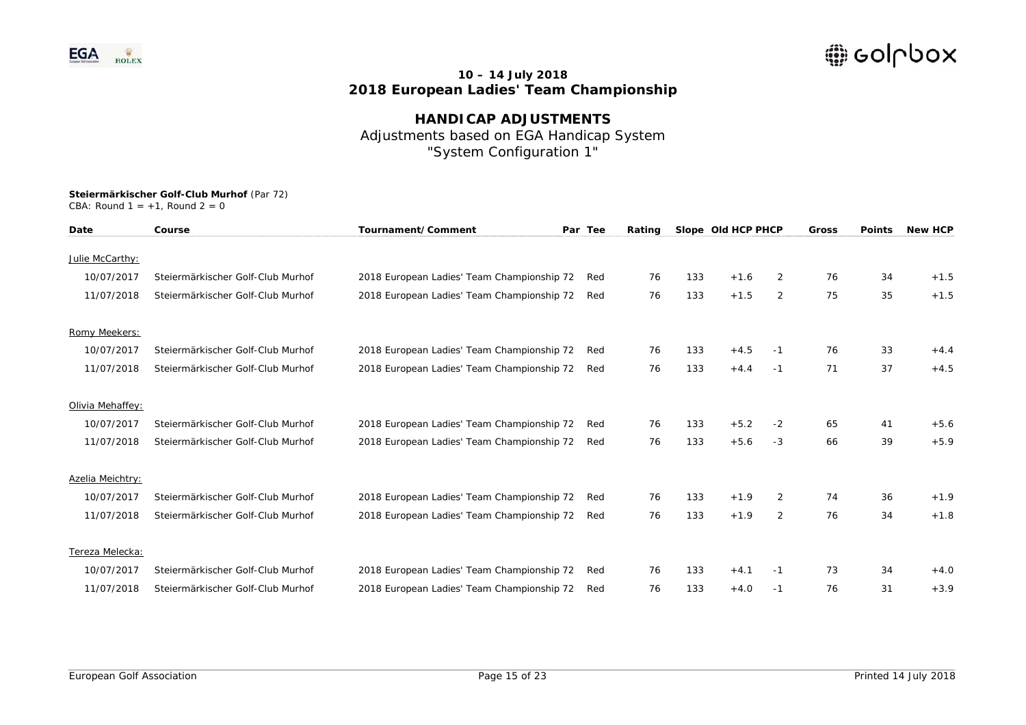

**HANDICAP ADJUSTMENTS**  Adjustments based on EGA Handicap System "System Configuration 1"

| Date             | Course                            | Tournament/Comment                         | Par Tee | Rating |     | Slope Old HCP PHCP |                | <b>Gross</b> | <b>Points</b> | <b>New HCP</b> |
|------------------|-----------------------------------|--------------------------------------------|---------|--------|-----|--------------------|----------------|--------------|---------------|----------------|
| Julie McCarthy:  |                                   |                                            |         |        |     |                    |                |              |               |                |
| 10/07/2017       | Steiermärkischer Golf-Club Murhof | 2018 European Ladies' Team Championship 72 | Red     | 76     | 133 | $+1.6$             | 2              | 76           | 34            | $+1.5$         |
| 11/07/2018       | Steiermärkischer Golf-Club Murhof | 2018 European Ladies' Team Championship 72 | Red     | 76     | 133 | $+1.5$             | $\overline{2}$ | 75           | 35            | $+1.5$         |
| Romy Meekers:    |                                   |                                            |         |        |     |                    |                |              |               |                |
| 10/07/2017       | Steiermärkischer Golf-Club Murhof | 2018 European Ladies' Team Championship 72 | Red     | 76     | 133 | $+4.5$             | -1             | 76           | 33            | $+4.4$         |
| 11/07/2018       | Steiermärkischer Golf-Club Murhof | 2018 European Ladies' Team Championship 72 | Red     | 76     | 133 | $+4.4$             | $-1$           | 71           | 37            | $+4.5$         |
| Olivia Mehaffey: |                                   |                                            |         |        |     |                    |                |              |               |                |
| 10/07/2017       | Steiermärkischer Golf-Club Murhof | 2018 European Ladies' Team Championship 72 | Red     | 76     | 133 | $+5.2$             | $-2$           | 65           | 41            | $+5.6$         |
| 11/07/2018       | Steiermärkischer Golf-Club Murhof | 2018 European Ladies' Team Championship 72 | Red     | 76     | 133 | $+5.6$             | $-3$           | 66           | 39            | $+5.9$         |
| Azelia Meichtry: |                                   |                                            |         |        |     |                    |                |              |               |                |
| 10/07/2017       | Steiermärkischer Golf-Club Murhof | 2018 European Ladies' Team Championship 72 | Red     | 76     | 133 | $+1.9$             | 2              | 74           | 36            | $+1.9$         |
| 11/07/2018       | Steiermärkischer Golf-Club Murhof | 2018 European Ladies' Team Championship 72 | Red     | 76     | 133 | $+1.9$             | $\overline{2}$ | 76           | 34            | $+1.8$         |
| Tereza Melecka:  |                                   |                                            |         |        |     |                    |                |              |               |                |
| 10/07/2017       | Steiermärkischer Golf-Club Murhof | 2018 European Ladies' Team Championship 72 | Red     | 76     | 133 | $+4.1$             | -1             | 73           | 34            | $+4.0$         |
| 11/07/2018       | Steiermärkischer Golf-Club Murhof | 2018 European Ladies' Team Championship 72 | Red     | 76     | 133 | $+4.0$             | $-1$           | 76           | 31            | $+3.9$         |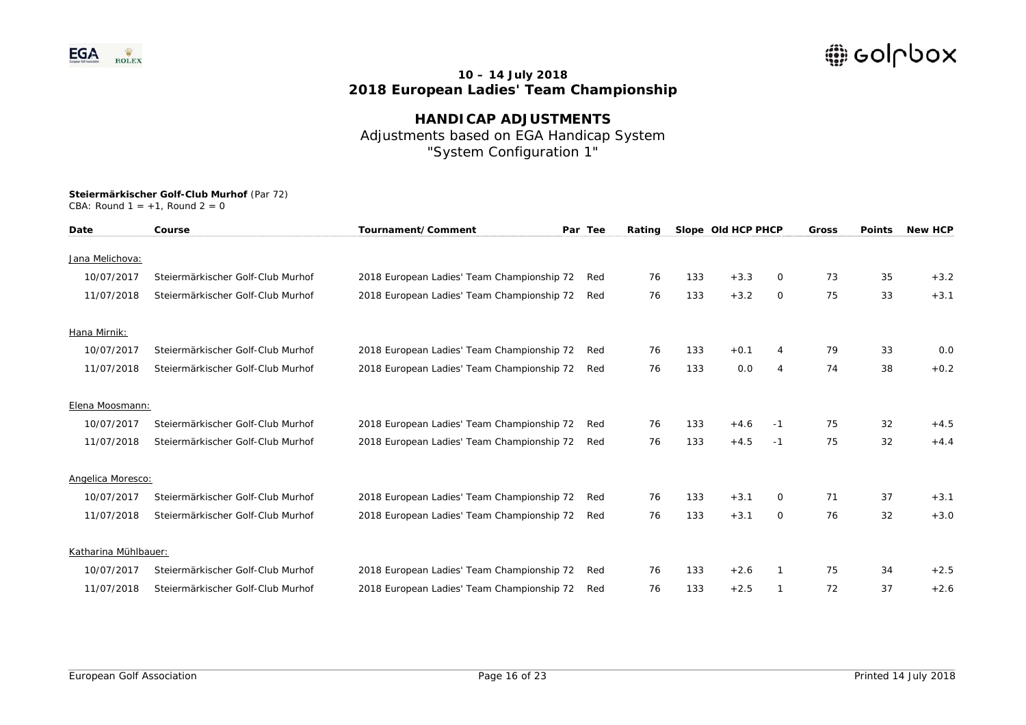

**HANDICAP ADJUSTMENTS**  Adjustments based on EGA Handicap System "System Configuration 1"

| Date                 | Course                            | Tournament/Comment                         | Par Tee | Rating |     | Slope Old HCP PHCP |      | Gross | <b>Points</b> | <b>New HCP</b> |
|----------------------|-----------------------------------|--------------------------------------------|---------|--------|-----|--------------------|------|-------|---------------|----------------|
| Jana Melichova:      |                                   |                                            |         |        |     |                    |      |       |               |                |
| 10/07/2017           | Steiermärkischer Golf-Club Murhof | 2018 European Ladies' Team Championship 72 | Red     | 76     | 133 | $+3.3$             | 0    | 73    | 35            | $+3.2$         |
| 11/07/2018           | Steiermärkischer Golf-Club Murhof | 2018 European Ladies' Team Championship 72 | Red     | 76     | 133 | $+3.2$             | 0    | 75    | 33            | $+3.1$         |
| Hana Mirnik:         |                                   |                                            |         |        |     |                    |      |       |               |                |
| 10/07/2017           | Steiermärkischer Golf-Club Murhof | 2018 European Ladies' Team Championship 72 | Red     | 76     | 133 | $+0.1$             | 4    | 79    | 33            | 0.0            |
| 11/07/2018           | Steiermärkischer Golf-Club Murhof | 2018 European Ladies' Team Championship 72 | Red     | 76     | 133 | 0.0                | 4    | 74    | 38            | $+0.2$         |
| Elena Moosmann:      |                                   |                                            |         |        |     |                    |      |       |               |                |
| 10/07/2017           | Steiermärkischer Golf-Club Murhof | 2018 European Ladies' Team Championship 72 | Red     | 76     | 133 | $+4.6$             | -1   | 75    | 32            | $+4.5$         |
| 11/07/2018           | Steiermärkischer Golf-Club Murhof | 2018 European Ladies' Team Championship 72 | Red     | 76     | 133 | $+4.5$             | $-1$ | 75    | 32            | $+4.4$         |
| Angelica Moresco:    |                                   |                                            |         |        |     |                    |      |       |               |                |
| 10/07/2017           | Steiermärkischer Golf-Club Murhof | 2018 European Ladies' Team Championship 72 | Red     | 76     | 133 | $+3.1$             | 0    | 71    | 37            | $+3.1$         |
| 11/07/2018           | Steiermärkischer Golf-Club Murhof | 2018 European Ladies' Team Championship 72 | Red     | 76     | 133 | $+3.1$             | 0    | 76    | 32            | $+3.0$         |
| Katharina Mühlbauer: |                                   |                                            |         |        |     |                    |      |       |               |                |
| 10/07/2017           | Steiermärkischer Golf-Club Murhof | 2018 European Ladies' Team Championship 72 | Red     | 76     | 133 | $+2.6$             | 1    | 75    | 34            | $+2.5$         |
| 11/07/2018           | Steiermärkischer Golf-Club Murhof | 2018 European Ladies' Team Championship 72 | Red     | 76     | 133 | $+2.5$             |      | 72    | 37            | $+2.6$         |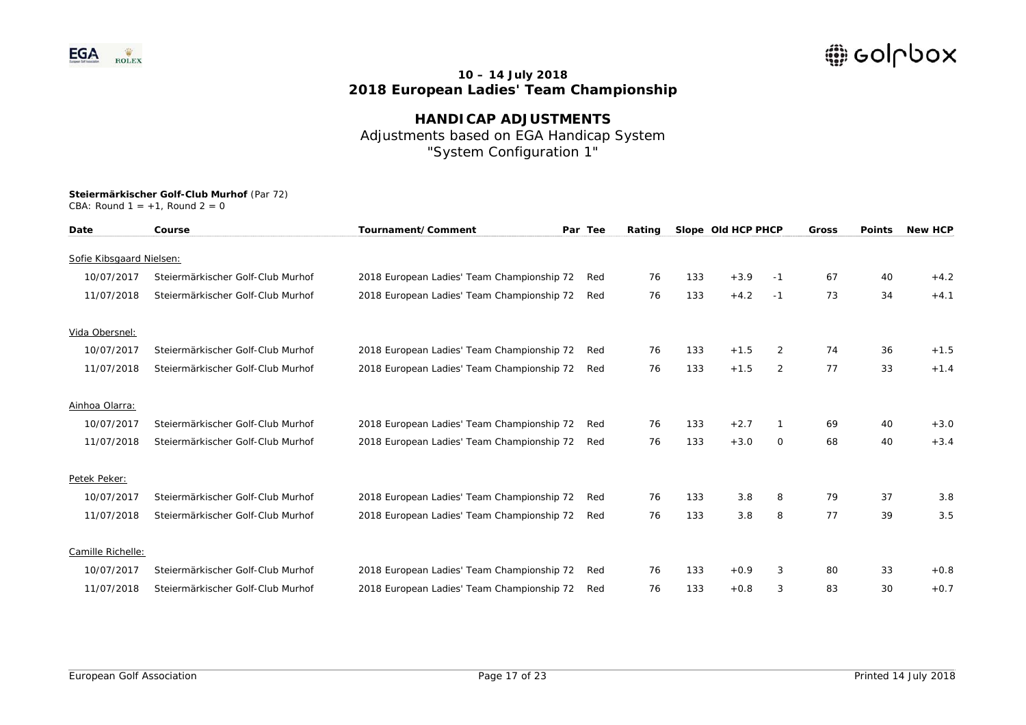

**HANDICAP ADJUSTMENTS**  Adjustments based on EGA Handicap System "System Configuration 1"

| Date                     | Course                            | Tournament/Comment                         | Par Tee | Rating |     | Slope Old HCP PHCP |                | <b>Gross</b> | <b>Points</b> | <b>New HCP</b> |
|--------------------------|-----------------------------------|--------------------------------------------|---------|--------|-----|--------------------|----------------|--------------|---------------|----------------|
| Sofie Kibsgaard Nielsen: |                                   |                                            |         |        |     |                    |                |              |               |                |
| 10/07/2017               | Steiermärkischer Golf-Club Murhof | 2018 European Ladies' Team Championship 72 | Red     | 76     | 133 | $+3.9$             | -1             | 67           | 40            | $+4.2$         |
| 11/07/2018               | Steiermärkischer Golf-Club Murhof | 2018 European Ladies' Team Championship 72 | Red     | 76     | 133 | $+4.2$             |                | 73           | 34            | $+4.1$         |
|                          |                                   |                                            |         |        |     |                    | $-1$           |              |               |                |
| Vida Obersnel:           |                                   |                                            |         |        |     |                    |                |              |               |                |
| 10/07/2017               | Steiermärkischer Golf-Club Murhof | 2018 European Ladies' Team Championship 72 | Red     | 76     | 133 | $+1.5$             | 2              | 74           | 36            | $+1.5$         |
| 11/07/2018               | Steiermärkischer Golf-Club Murhof | 2018 European Ladies' Team Championship 72 | Red     | 76     | 133 | $+1.5$             | $\overline{2}$ | 77           | 33            | $+1.4$         |
|                          |                                   |                                            |         |        |     |                    |                |              |               |                |
| Ainhoa Olarra:           |                                   |                                            |         |        |     |                    |                |              |               |                |
| 10/07/2017               | Steiermärkischer Golf-Club Murhof | 2018 European Ladies' Team Championship 72 | Red     | 76     | 133 | $+2.7$             |                | 69           | 40            | $+3.0$         |
| 11/07/2018               | Steiermärkischer Golf-Club Murhof | 2018 European Ladies' Team Championship 72 | Red     | 76     | 133 | $+3.0$             | $\circ$        | 68           | 40            | $+3.4$         |
|                          |                                   |                                            |         |        |     |                    |                |              |               |                |
| Petek Peker:             |                                   |                                            |         |        |     |                    |                |              |               |                |
| 10/07/2017               | Steiermärkischer Golf-Club Murhof | 2018 European Ladies' Team Championship 72 | Red     | 76     | 133 | 3.8                | 8              | 79           | 37            | 3.8            |
| 11/07/2018               | Steiermärkischer Golf-Club Murhof | 2018 European Ladies' Team Championship 72 | Red     | 76     | 133 | 3.8                | 8              | 77           | 39            | 3.5            |
|                          |                                   |                                            |         |        |     |                    |                |              |               |                |
| Camille Richelle:        |                                   |                                            |         |        |     |                    |                |              |               |                |
| 10/07/2017               | Steiermärkischer Golf-Club Murhof | 2018 European Ladies' Team Championship 72 | Red     | 76     | 133 | $+0.9$             | 3              | 80           | 33            | $+0.8$         |
| 11/07/2018               | Steiermärkischer Golf-Club Murhof | 2018 European Ladies' Team Championship 72 | Red     | 76     | 133 | $+0.8$             | 3              | 83           | 30            | $+0.7$         |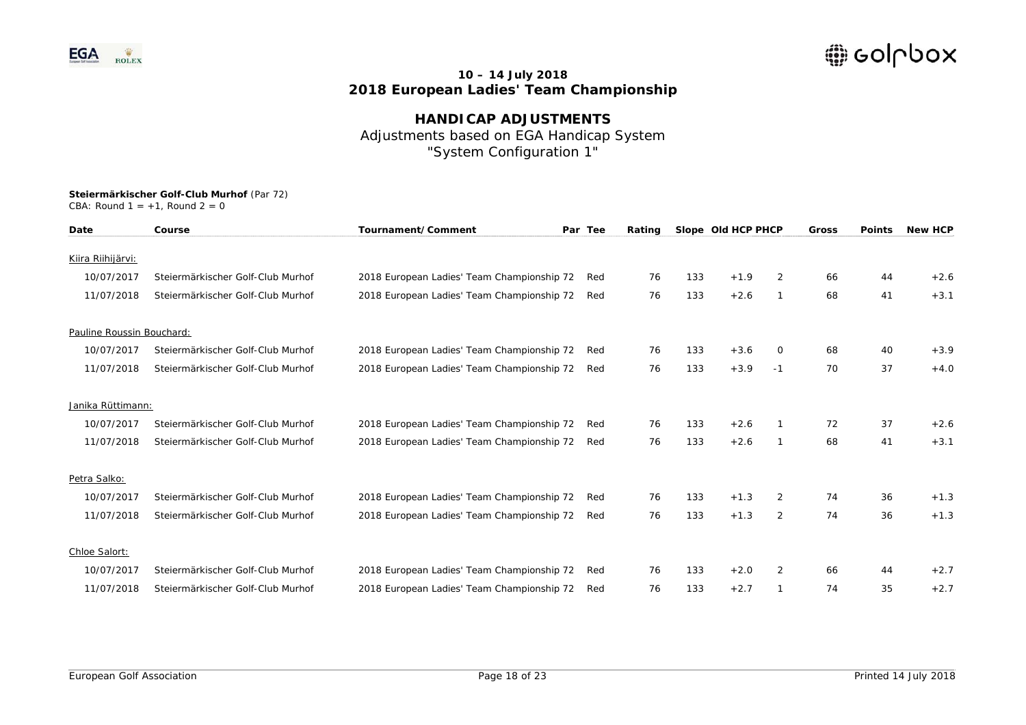

**HANDICAP ADJUSTMENTS**  Adjustments based on EGA Handicap System "System Configuration 1"

| Date                      | Course                            | Tournament/Comment                         | Par Tee | Rating |     | Slope Old HCP PHCP |                | Gross | <b>Points</b> | <b>New HCP</b> |
|---------------------------|-----------------------------------|--------------------------------------------|---------|--------|-----|--------------------|----------------|-------|---------------|----------------|
| Kiira Riihijärvi:         |                                   |                                            |         |        |     |                    |                |       |               |                |
| 10/07/2017                | Steiermärkischer Golf-Club Murhof | 2018 European Ladies' Team Championship 72 | Red     | 76     | 133 | $+1.9$             | 2              | 66    | 44            | $+2.6$         |
| 11/07/2018                | Steiermärkischer Golf-Club Murhof | 2018 European Ladies' Team Championship 72 | Red     | 76     | 133 | $+2.6$             | -1             | 68    | 41            | $+3.1$         |
| Pauline Roussin Bouchard: |                                   |                                            |         |        |     |                    |                |       |               |                |
| 10/07/2017                | Steiermärkischer Golf-Club Murhof | 2018 European Ladies' Team Championship 72 | Red     | 76     | 133 | $+3.6$             | 0              | 68    | 40            | $+3.9$         |
| 11/07/2018                | Steiermärkischer Golf-Club Murhof | 2018 European Ladies' Team Championship 72 | Red     | 76     | 133 | $+3.9$             | $-1$           | 70    | 37            | $+4.0$         |
| Janika Rüttimann:         |                                   |                                            |         |        |     |                    |                |       |               |                |
| 10/07/2017                | Steiermärkischer Golf-Club Murhof | 2018 European Ladies' Team Championship 72 | Red     | 76     | 133 | $+2.6$             |                | 72    | 37            | $+2.6$         |
| 11/07/2018                | Steiermärkischer Golf-Club Murhof | 2018 European Ladies' Team Championship 72 | Red     | 76     | 133 | $+2.6$             | -1             | 68    | 41            | $+3.1$         |
| Petra Salko:              |                                   |                                            |         |        |     |                    |                |       |               |                |
| 10/07/2017                | Steiermärkischer Golf-Club Murhof | 2018 European Ladies' Team Championship 72 | Red     | 76     | 133 | $+1.3$             | 2              | 74    | 36            | $+1.3$         |
| 11/07/2018                | Steiermärkischer Golf-Club Murhof | 2018 European Ladies' Team Championship 72 | Red     | 76     | 133 | $+1.3$             | 2              | 74    | 36            | $+1.3$         |
| Chloe Salort:             |                                   |                                            |         |        |     |                    |                |       |               |                |
| 10/07/2017                | Steiermärkischer Golf-Club Murhof | 2018 European Ladies' Team Championship 72 | Red     | 76     | 133 | $+2.0$             | $\overline{2}$ | 66    | 44            | $+2.7$         |
| 11/07/2018                | Steiermärkischer Golf-Club Murhof | 2018 European Ladies' Team Championship 72 | Red     | 76     | 133 | $+2.7$             |                | 74    | 35            | $+2.7$         |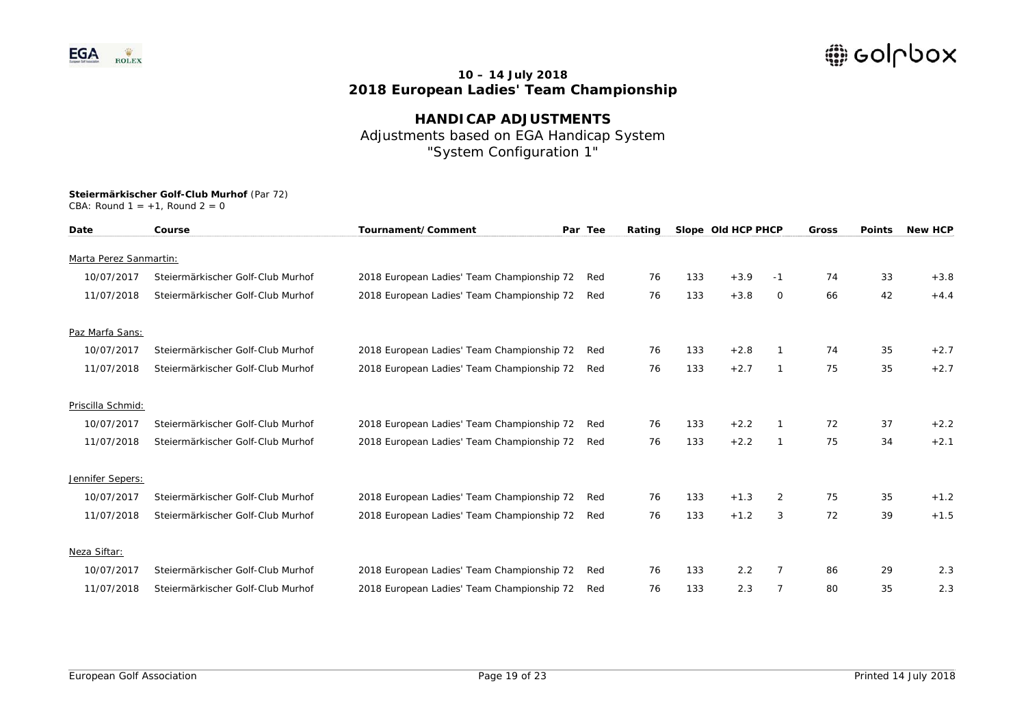

**HANDICAP ADJUSTMENTS**  Adjustments based on EGA Handicap System "System Configuration 1"

| Date                   | Course                            | Tournament/Comment                         | Par Tee | Rating |     | Slope Old HCP PHCP |                | <b>Gross</b> | <b>Points</b> | <b>New HCP</b> |
|------------------------|-----------------------------------|--------------------------------------------|---------|--------|-----|--------------------|----------------|--------------|---------------|----------------|
| Marta Perez Sanmartin: |                                   |                                            |         |        |     |                    |                |              |               |                |
| 10/07/2017             | Steiermärkischer Golf-Club Murhof | 2018 European Ladies' Team Championship 72 | Red     | 76     | 133 | $+3.9$             | -1             | 74           | 33            | $+3.8$         |
|                        |                                   |                                            |         |        |     |                    |                |              |               |                |
| 11/07/2018             | Steiermärkischer Golf-Club Murhof | 2018 European Ladies' Team Championship 72 | Red     | 76     | 133 | $+3.8$             | 0              | 66           | 42            | $+4.4$         |
| Paz Marfa Sans:        |                                   |                                            |         |        |     |                    |                |              |               |                |
| 10/07/2017             | Steiermärkischer Golf-Club Murhof | 2018 European Ladies' Team Championship 72 | Red     | 76     | 133 | $+2.8$             |                | 74           | 35            | $+2.7$         |
| 11/07/2018             | Steiermärkischer Golf-Club Murhof | 2018 European Ladies' Team Championship 72 | Red     | 76     | 133 | $+2.7$             | $\mathbf{1}$   | 75           | 35            | $+2.7$         |
| Priscilla Schmid:      |                                   |                                            |         |        |     |                    |                |              |               |                |
| 10/07/2017             | Steiermärkischer Golf-Club Murhof | 2018 European Ladies' Team Championship 72 | Red     | 76     | 133 | $+2.2$             |                | 72           | 37            | $+2.2$         |
| 11/07/2018             | Steiermärkischer Golf-Club Murhof | 2018 European Ladies' Team Championship 72 | Red     | 76     | 133 | $+2.2$             | $\mathbf{1}$   | 75           | 34            | $+2.1$         |
| Jennifer Sepers:       |                                   |                                            |         |        |     |                    |                |              |               |                |
| 10/07/2017             | Steiermärkischer Golf-Club Murhof | 2018 European Ladies' Team Championship 72 | Red     | 76     | 133 | $+1.3$             | $\overline{2}$ | 75           | 35            | $+1.2$         |
|                        |                                   |                                            |         |        |     |                    |                |              |               |                |
| 11/07/2018             | Steiermärkischer Golf-Club Murhof | 2018 European Ladies' Team Championship 72 | Red     | 76     | 133 | $+1.2$             | 3              | 72           | 39            | $+1.5$         |
| Neza Siftar:           |                                   |                                            |         |        |     |                    |                |              |               |                |
| 10/07/2017             | Steiermärkischer Golf-Club Murhof | 2018 European Ladies' Team Championship 72 | Red     | 76     | 133 | 2.2                | $\overline{7}$ | 86           | 29            | 2.3            |
| 11/07/2018             | Steiermärkischer Golf-Club Murhof | 2018 European Ladies' Team Championship 72 | Red     | 76     | 133 | 2.3                | 7              | 80           | 35            | 2.3            |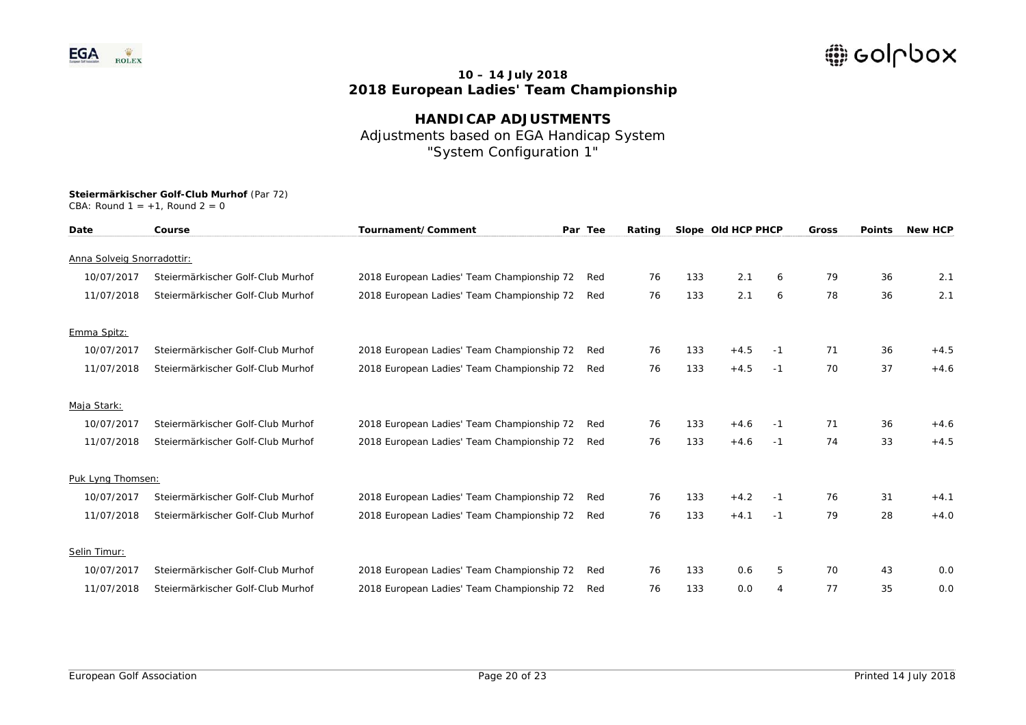

**HANDICAP ADJUSTMENTS**  Adjustments based on EGA Handicap System "System Configuration 1"

| Date                       | Course                            | Tournament/Comment                         | Par Tee | Rating |     | Slope Old HCP PHCP |      | Gross | <b>Points</b> | <b>New HCP</b> |
|----------------------------|-----------------------------------|--------------------------------------------|---------|--------|-----|--------------------|------|-------|---------------|----------------|
| Anna Solveig Snorradottir: |                                   |                                            |         |        |     |                    |      |       |               |                |
|                            |                                   |                                            |         |        |     |                    |      |       |               |                |
| 10/07/2017                 | Steiermärkischer Golf-Club Murhof | 2018 European Ladies' Team Championship 72 | Red     | 76     | 133 | 2.1                | 6    | 79    | 36            | 2.1            |
| 11/07/2018                 | Steiermärkischer Golf-Club Murhof | 2018 European Ladies' Team Championship 72 | Red     | 76     | 133 | 2.1                | 6    | 78    | 36            | 2.1            |
| Emma Spitz:                |                                   |                                            |         |        |     |                    |      |       |               |                |
| 10/07/2017                 | Steiermärkischer Golf-Club Murhof | 2018 European Ladies' Team Championship 72 | Red     | 76     | 133 | $+4.5$             | -1   | 71    | 36            | $+4.5$         |
| 11/07/2018                 | Steiermärkischer Golf-Club Murhof | 2018 European Ladies' Team Championship 72 | Red     | 76     | 133 | $+4.5$             | -1   | 70    | 37            | $+4.6$         |
| Maja Stark:                |                                   |                                            |         |        |     |                    |      |       |               |                |
| 10/07/2017                 | Steiermärkischer Golf-Club Murhof | 2018 European Ladies' Team Championship 72 | Red     | 76     | 133 | $+4.6$             | -1   | 71    | 36            | $+4.6$         |
| 11/07/2018                 | Steiermärkischer Golf-Club Murhof | 2018 European Ladies' Team Championship 72 | Red     | 76     | 133 | $+4.6$             | -1   | 74    | 33            | $+4.5$         |
| Puk Lyng Thomsen:          |                                   |                                            |         |        |     |                    |      |       |               |                |
| 10/07/2017                 | Steiermärkischer Golf-Club Murhof | 2018 European Ladies' Team Championship 72 | Red     | 76     | 133 | $+4.2$             | -1   | 76    | 31            | $+4.1$         |
| 11/07/2018                 | Steiermärkischer Golf-Club Murhof | 2018 European Ladies' Team Championship 72 | Red     | 76     | 133 | $+4.1$             | $-1$ | 79    | 28            | $+4.0$         |
| Selin Timur:               |                                   |                                            |         |        |     |                    |      |       |               |                |
| 10/07/2017                 | Steiermärkischer Golf-Club Murhof | 2018 European Ladies' Team Championship 72 | Red     | 76     | 133 | 0.6                | 5    | 70    | 43            | 0.0            |
| 11/07/2018                 | Steiermärkischer Golf-Club Murhof | 2018 European Ladies' Team Championship 72 | Red     | 76     | 133 | 0.0                | 4    | 77    | 35            | 0.0            |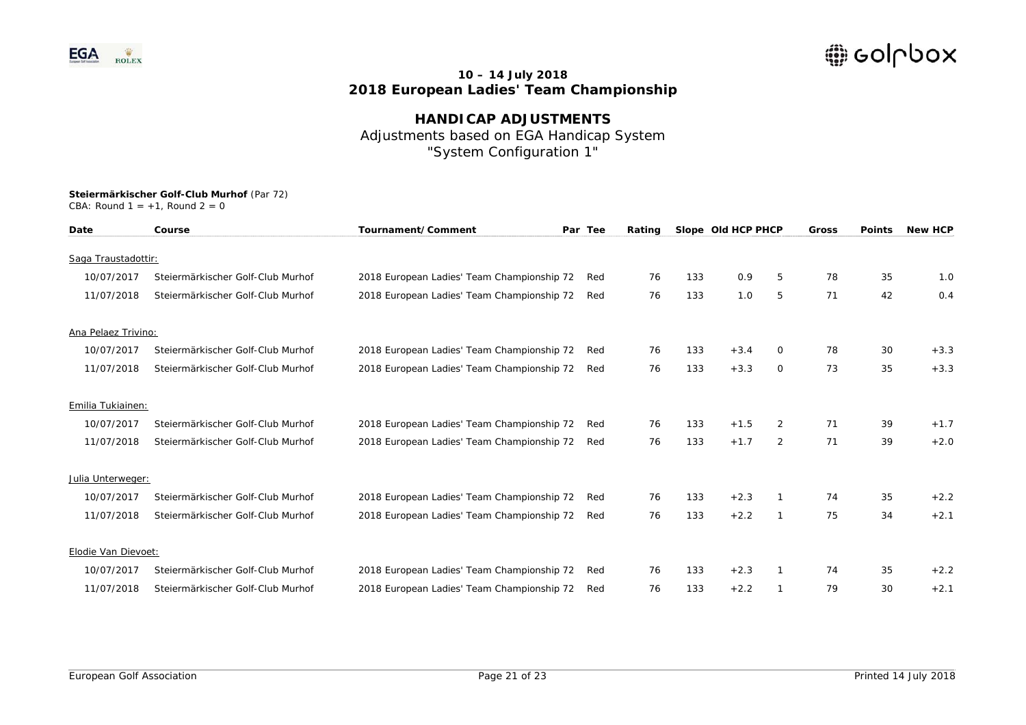

**HANDICAP ADJUSTMENTS**  Adjustments based on EGA Handicap System "System Configuration 1"

| Date                | Course                            | Tournament/Comment                         | Par Tee | Rating |     | Slope Old HCP PHCP |                | Gross | <b>Points</b> | <b>New HCP</b> |
|---------------------|-----------------------------------|--------------------------------------------|---------|--------|-----|--------------------|----------------|-------|---------------|----------------|
| Saga Traustadottir: |                                   |                                            |         |        |     |                    |                |       |               |                |
| 10/07/2017          | Steiermärkischer Golf-Club Murhof | 2018 European Ladies' Team Championship 72 | Red     | 76     | 133 | 0.9                | 5              | 78    | 35            | 1.0            |
| 11/07/2018          | Steiermärkischer Golf-Club Murhof | 2018 European Ladies' Team Championship 72 | Red     | 76     | 133 | 1.0                | 5              | 71    | 42            | 0.4            |
| Ana Pelaez Trivino: |                                   |                                            |         |        |     |                    |                |       |               |                |
| 10/07/2017          | Steiermärkischer Golf-Club Murhof | 2018 European Ladies' Team Championship 72 | Red     | 76     | 133 | $+3.4$             | 0              | 78    | 30            | $+3.3$         |
| 11/07/2018          | Steiermärkischer Golf-Club Murhof | 2018 European Ladies' Team Championship 72 | Red     | 76     | 133 | $+3.3$             | 0              | 73    | 35            | $+3.3$         |
| Emilia Tukiainen:   |                                   |                                            |         |        |     |                    |                |       |               |                |
| 10/07/2017          | Steiermärkischer Golf-Club Murhof | 2018 European Ladies' Team Championship 72 | Red     | 76     | 133 | $+1.5$             | $\overline{2}$ | 71    | 39            | $+1.7$         |
| 11/07/2018          | Steiermärkischer Golf-Club Murhof | 2018 European Ladies' Team Championship 72 | Red     | 76     | 133 | $+1.7$             | $\overline{2}$ | 71    | 39            | $+2.0$         |
| Julia Unterweger:   |                                   |                                            |         |        |     |                    |                |       |               |                |
| 10/07/2017          | Steiermärkischer Golf-Club Murhof | 2018 European Ladies' Team Championship 72 | Red     | 76     | 133 | $+2.3$             |                | 74    | 35            | $+2.2$         |
| 11/07/2018          | Steiermärkischer Golf-Club Murhof | 2018 European Ladies' Team Championship 72 | Red     | 76     | 133 | $+2.2$             | $\mathbf{1}$   | 75    | 34            | $+2.1$         |
| Elodie Van Dievoet: |                                   |                                            |         |        |     |                    |                |       |               |                |
| 10/07/2017          | Steiermärkischer Golf-Club Murhof | 2018 European Ladies' Team Championship 72 | Red     | 76     | 133 | $+2.3$             |                | 74    | 35            | $+2.2$         |
| 11/07/2018          | Steiermärkischer Golf-Club Murhof | 2018 European Ladies' Team Championship 72 | Red     | 76     | 133 | $+2.2$             |                | 79    | 30            | $+2.1$         |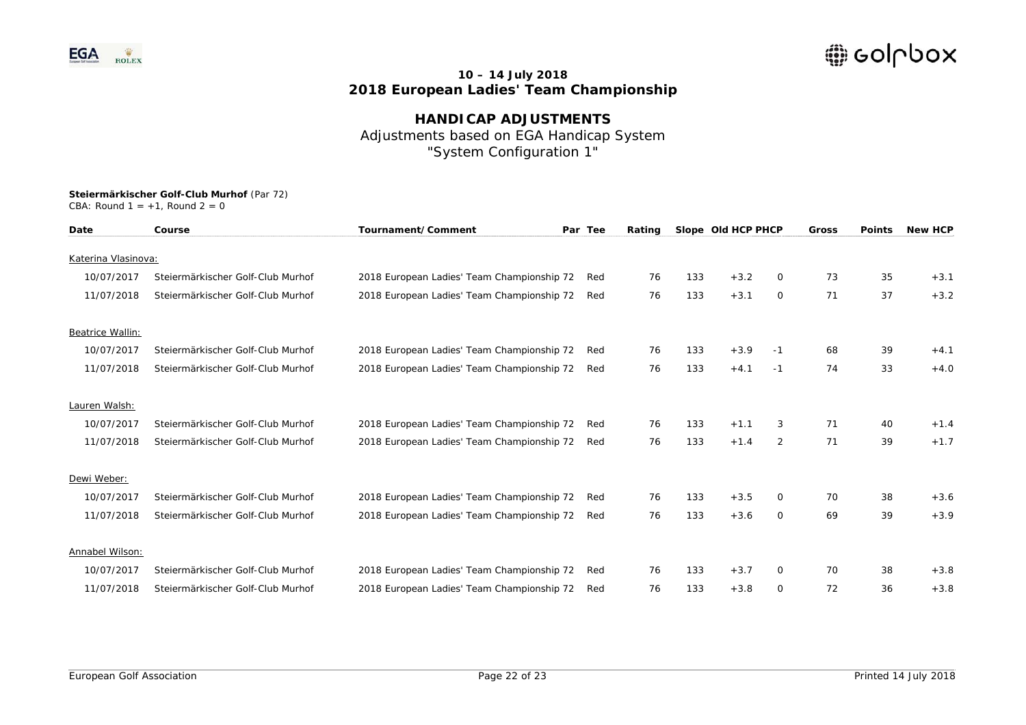

**HANDICAP ADJUSTMENTS**  Adjustments based on EGA Handicap System "System Configuration 1"

| Date                | Course                            | Tournament/Comment                         | Par Tee | Rating |     | Slope Old HCP PHCP |              | Gross | <b>Points</b> | <b>New HCP</b> |
|---------------------|-----------------------------------|--------------------------------------------|---------|--------|-----|--------------------|--------------|-------|---------------|----------------|
| Katerina Vlasinova: |                                   |                                            |         |        |     |                    |              |       |               |                |
|                     |                                   |                                            |         |        |     |                    |              |       |               |                |
| 10/07/2017          | Steiermärkischer Golf-Club Murhof | 2018 European Ladies' Team Championship 72 | Red     | 76     | 133 | $+3.2$             | 0            | 73    | 35            | $+3.1$         |
| 11/07/2018          | Steiermärkischer Golf-Club Murhof | 2018 European Ladies' Team Championship 72 | Red     | 76     | 133 | $+3.1$             | $\circ$      | 71    | 37            | $+3.2$         |
| Beatrice Wallin:    |                                   |                                            |         |        |     |                    |              |       |               |                |
| 10/07/2017          | Steiermärkischer Golf-Club Murhof | 2018 European Ladies' Team Championship 72 | Red     | 76     | 133 | $+3.9$             | $-1$         | 68    | 39            | $+4.1$         |
| 11/07/2018          | Steiermärkischer Golf-Club Murhof | 2018 European Ladies' Team Championship 72 | Red     | 76     | 133 | $+4.1$             | $-1$         | 74    | 33            | $+4.0$         |
| Lauren Walsh:       |                                   |                                            |         |        |     |                    |              |       |               |                |
| 10/07/2017          | Steiermärkischer Golf-Club Murhof | 2018 European Ladies' Team Championship 72 | Red     | 76     | 133 | $+1.1$             | 3            | 71    | 40            | $+1.4$         |
| 11/07/2018          | Steiermärkischer Golf-Club Murhof | 2018 European Ladies' Team Championship 72 | Red     | 76     | 133 | $+1.4$             | 2            | 71    | 39            | $+1.7$         |
| Dewi Weber:         |                                   |                                            |         |        |     |                    |              |       |               |                |
| 10/07/2017          |                                   |                                            |         |        |     |                    |              |       |               |                |
|                     | Steiermärkischer Golf-Club Murhof | 2018 European Ladies' Team Championship 72 | Red     | 76     | 133 | $+3.5$             | $\Omega$     | 70    | 38            | $+3.6$         |
| 11/07/2018          | Steiermärkischer Golf-Club Murhof | 2018 European Ladies' Team Championship 72 | Red     | 76     | 133 | $+3.6$             | $\circ$      | 69    | 39            | $+3.9$         |
| Annabel Wilson:     |                                   |                                            |         |        |     |                    |              |       |               |                |
| 10/07/2017          | Steiermärkischer Golf-Club Murhof | 2018 European Ladies' Team Championship 72 | Red     | 76     | 133 | $+3.7$             | $\mathbf{O}$ | 70    | 38            | $+3.8$         |
| 11/07/2018          | Steiermärkischer Golf-Club Murhof | 2018 European Ladies' Team Championship 72 | Red     | 76     | 133 | $+3.8$             | $\Omega$     | 72    | 36            | $+3.8$         |